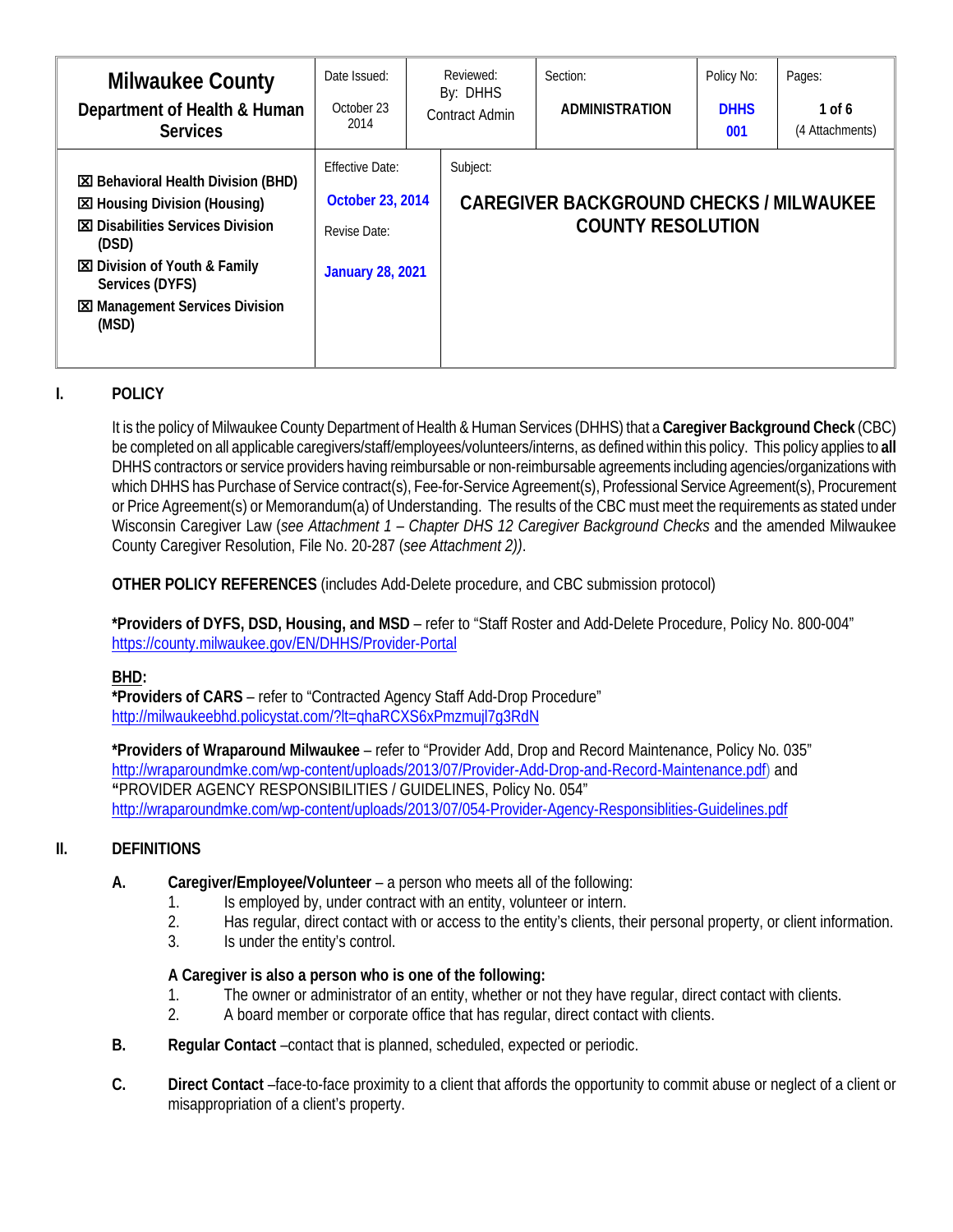| <b>Milwaukee County</b><br>Department of Health & Human<br><b>Services</b>                                                                                                                                                                         | Date Issued:<br>October 23<br>2014                                                    | Reviewed:<br>By: DHHS<br><b>Contract Admin</b> | Section:<br><b>ADMINISTRATION</b>                                          | Policy No:<br><b>DHHS</b><br>001 | Pages:<br>1 of 6<br>(4 Attachments) |
|----------------------------------------------------------------------------------------------------------------------------------------------------------------------------------------------------------------------------------------------------|---------------------------------------------------------------------------------------|------------------------------------------------|----------------------------------------------------------------------------|----------------------------------|-------------------------------------|
| <b>EX</b> Behavioral Health Division (BHD)<br><b>EX</b> Housing Division (Housing)<br><b>図 Disabilities Services Division</b><br>(DSD)<br><b>区</b> Division of Youth & Family<br>Services (DYFS)<br><b>図 Management Services Division</b><br>(MSD) | <b>Effective Date:</b><br>October 23, 2014<br>Revise Date:<br><b>January 28, 2021</b> | Subject:                                       | <b>CAREGIVER BACKGROUND CHECKS / MILWAUKEE</b><br><b>COUNTY RESOLUTION</b> |                                  |                                     |

## **I. POLICY**

It is the policy of Milwaukee County Department of Health & Human Services (DHHS) that a **Caregiver Background Check** (CBC) be completed on all applicable caregivers/staff/employees/volunteers/interns, as defined within this policy. This policy applies to **all**  DHHS contractors or service providers having reimbursable or non-reimbursable agreements including agencies/organizations with which DHHS has Purchase of Service contract(s), Fee-for-Service Agreement(s), Professional Service Agreement(s), Procurement or Price Agreement(s) or Memorandum(a) of Understanding. The results of the CBC must meet the requirements as stated under Wisconsin Caregiver Law (*see Attachment 1 – Chapter DHS 12 Caregiver Background Checks* and the amended Milwaukee County Caregiver Resolution, File No. 20-287 (*see Attachment 2))*.

**OTHER POLICY REFERENCES** (includes Add-Delete procedure, and CBC submission protocol)

**\*Providers of DYFS, DSD, Housing, and MSD** – refer to "Staff Roster and Add-Delete Procedure, Policy No. 800-004" https://county.milwaukee.gov/EN/DHHS/Provider-Portal

## **BHD:**

**\*Providers of CARS** – refer to "Contracted Agency Staff Add-Drop Procedure" <http://milwaukeebhd.policystat.com/?lt=qhaRCXS6xPmzmujl7g3RdN>

**\*Providers of Wraparound Milwaukee** – refer to "Provider Add, Drop and Record Maintenance, Policy No. 035" [http://wraparoundmke.com/wp-content/uploads/2013/07/Provider-Add-Drop-and-Record-Maintenance.pdf\)](http://wraparoundmke.com/wp-content/uploads/2013/07/Provider-Add-Drop-and-Record-Maintenance.pdf) and **"**PROVIDER AGENCY RESPONSIBILITIES / GUIDELINES, Policy No. 054" <http://wraparoundmke.com/wp-content/uploads/2013/07/054-Provider-Agency-Responsiblities-Guidelines.pdf>

## **II. DEFINITIONS**

- **A. Caregiver/Employee/Volunteer** a person who meets all of the following:
	- 1. Is employed by, under contract with an entity, volunteer or intern.
	- 2. Has regular, direct contact with or access to the entity's clients, their personal property, or client information.
	- 3. Is under the entity's control.

## **A Caregiver is also a person who is one of the following:**

- 1. The owner or administrator of an entity, whether or not they have regular, direct contact with clients.
- 2. A board member or corporate office that has regular, direct contact with clients.
- **B. Regular Contact** –contact that is planned, scheduled, expected or periodic.
- **C. Direct Contact** –face-to-face proximity to a client that affords the opportunity to commit abuse or neglect of a client or misappropriation of a client's property.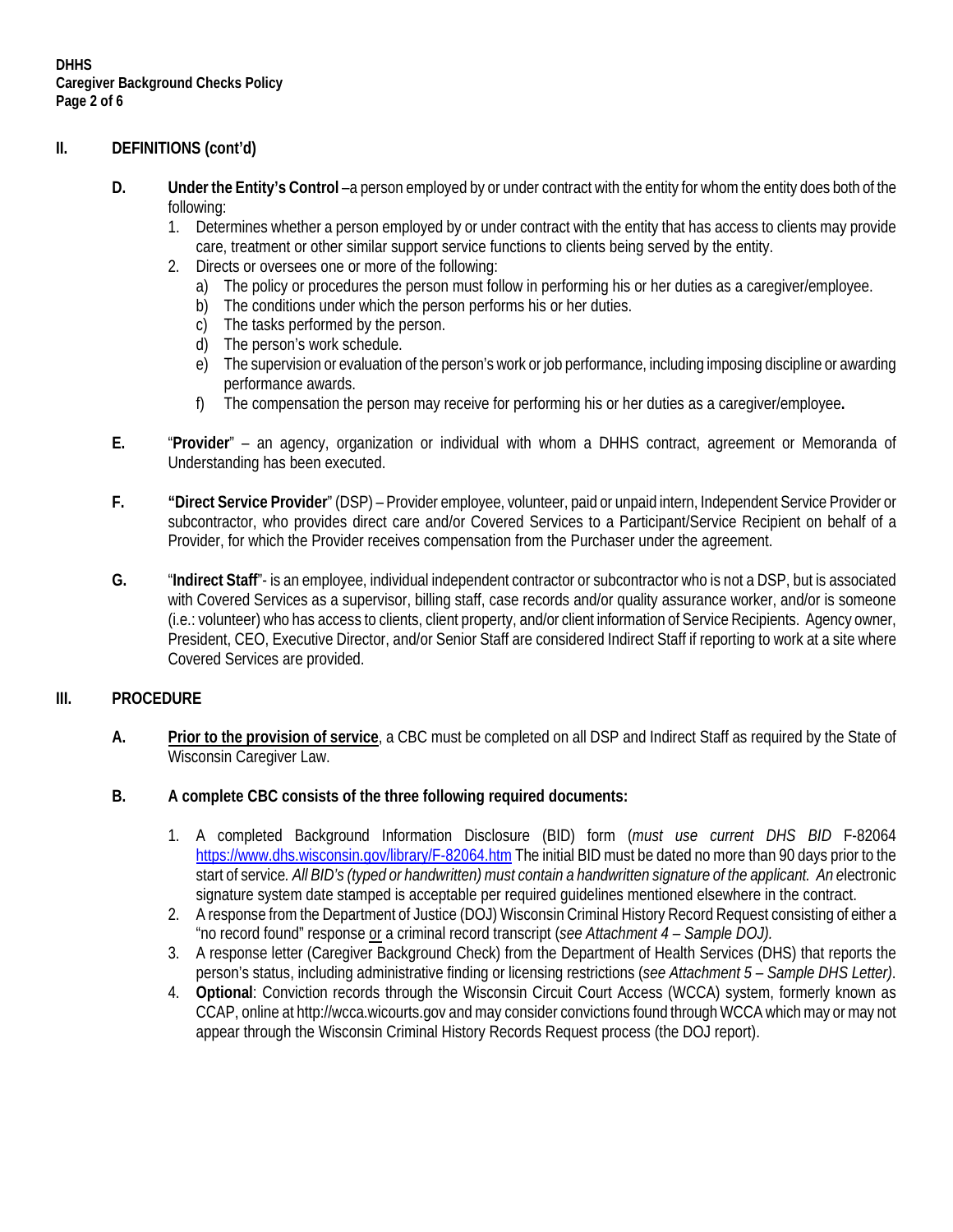### **II. DEFINITIONS (cont'd)**

- **D. Under the Entity's Control** –a person employed by or under contract with the entity for whom the entity does both of the following:
	- 1. Determines whether a person employed by or under contract with the entity that has access to clients may provide care, treatment or other similar support service functions to clients being served by the entity.
	- 2. Directs or oversees one or more of the following:
		- a) The policy or procedures the person must follow in performing his or her duties as a caregiver/employee.
		- b) The conditions under which the person performs his or her duties.
		- c) The tasks performed by the person.
		- d) The person's work schedule.
		- e) The supervision or evaluation of the person's work or job performance, including imposing discipline or awarding performance awards.
		- f) The compensation the person may receive for performing his or her duties as a caregiver/employee**.**
- **E.** "**Provider**" an agency, organization or individual with whom a DHHS contract, agreement or Memoranda of Understanding has been executed.
- **F. "Direct Service Provider**" (DSP) Provider employee, volunteer, paid or unpaid intern, Independent Service Provider or subcontractor, who provides direct care and/or Covered Services to a Participant/Service Recipient on behalf of a Provider, for which the Provider receives compensation from the Purchaser under the agreement.
- **G.** "**Indirect Staff**"- is an employee, individual independent contractor or subcontractor who is not a DSP, but is associated with Covered Services as a supervisor, billing staff, case records and/or quality assurance worker, and/or is someone (i.e.: volunteer) who has access to clients, client property, and/or client information of Service Recipients. Agency owner, President, CEO, Executive Director, and/or Senior Staff are considered Indirect Staff if reporting to work at a site where Covered Services are provided.

### **III. PROCEDURE**

- **A. Prior to the provision of service**, a CBC must be completed on all DSP and Indirect Staff as required by the State of Wisconsin Caregiver Law.
- **B. A complete CBC consists of the three following required documents:**
	- 1. A completed Background Information Disclosure (BID) form (*must use current DHS BID* F-82064 <https://www.dhs.wisconsin.gov/library/F-82064.htm> The initial BID must be dated no more than 90 days prior to the start of service*. All BID's (typed or handwritten) must contain a handwritten signature of the applicant. An e*lectronic signature system date stamped is acceptable per required guidelines mentioned elsewhere in the contract.
	- 2. A response from the Department of Justice (DOJ) Wisconsin Criminal History Record Request consisting of either a "no record found" response or a criminal record transcript (*see Attachment 4 – Sample DOJ).*
	- 3. A response letter (Caregiver Background Check) from the Department of Health Services (DHS) that reports the person's status, including administrative finding or licensing restrictions (*see Attachment 5 – Sample DHS Letter)*.
	- 4. **Optional**: Conviction records through the Wisconsin Circuit Court Access (WCCA) system, formerly known as CCAP, online at http://wcca.wicourts.gov and may consider convictions found through WCCA which may or may not appear through the Wisconsin Criminal History Records Request process (the DOJ report).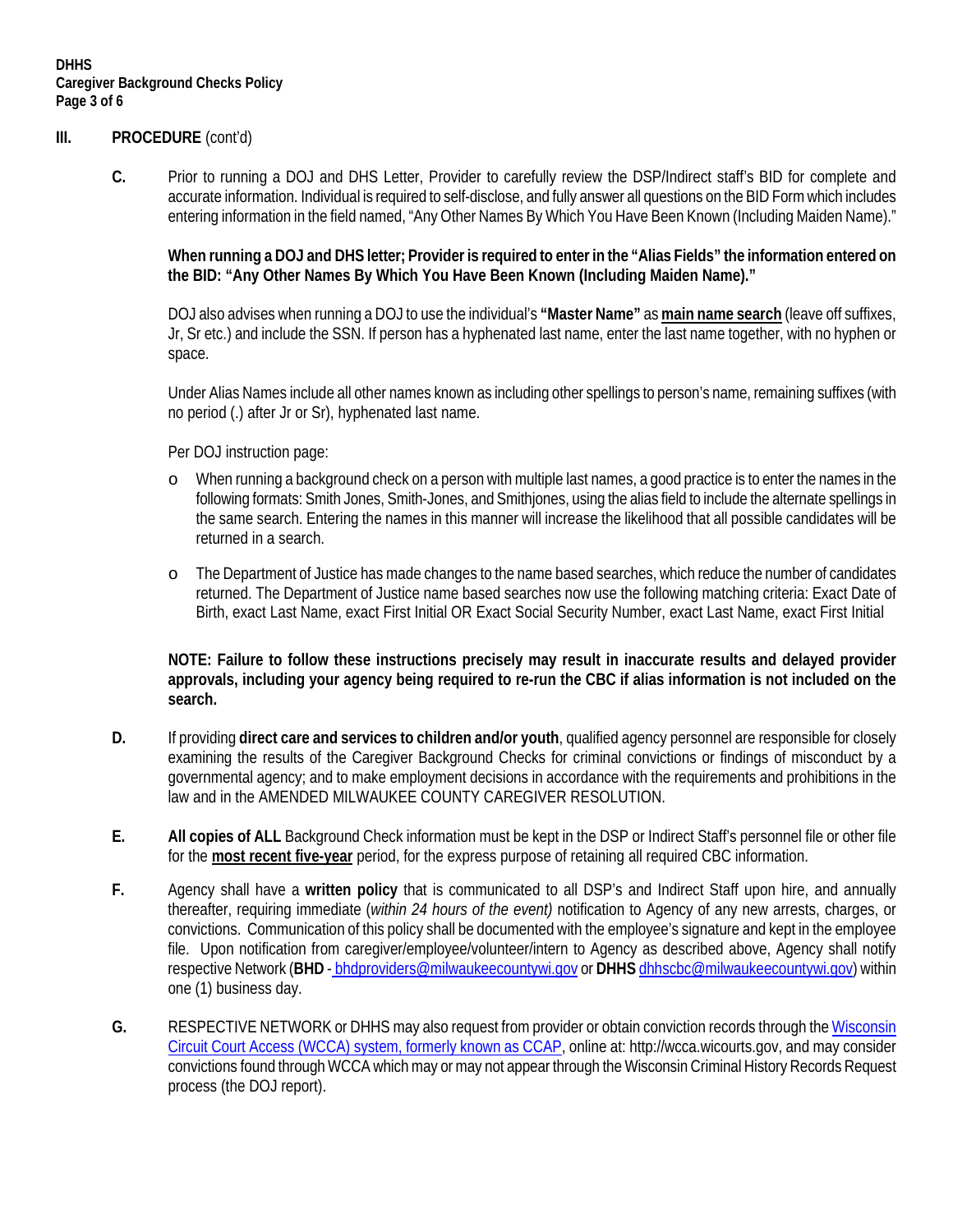### **III. PROCEDURE** (cont'd)

**C.** Prior to running a DOJ and DHS Letter, Provider to carefully review the DSP/Indirect staff's BID for complete and accurate information. Individual is required to self-disclose, and fully answer all questions on the BID Form which includes entering information in the field named, "Any Other Names By Which You Have Been Known (Including Maiden Name)."

### **When running a DOJ and DHS letter; Provider is required to enter in the "Alias Fields" the information entered on the BID: "Any Other Names By Which You Have Been Known (Including Maiden Name)."**

DOJ also advises when running a DOJ to use the individual's **"Master Name"** as **main name search** (leave off suffixes, Jr, Sr etc.) and include the SSN. If person has a hyphenated last name, enter the last name together, with no hyphen or space.

Under Alias Names include all other names known as including other spellings to person's name, remaining suffixes (with no period (.) after Jr or Sr), hyphenated last name.

Per DOJ instruction page:

- o When running a background check on a person with multiple last names, a good practice is to enter the names in the following formats: Smith Jones, Smith-Jones, and Smithjones, using the alias field to include the alternate spellings in the same search. Entering the names in this manner will increase the likelihood that all possible candidates will be returned in a search.
- o The Department of Justice has made changes to the name based searches, which reduce the number of candidates returned. The Department of Justice name based searches now use the following matching criteria: Exact Date of Birth, exact Last Name, exact First Initial OR Exact Social Security Number, exact Last Name, exact First Initial

### **NOTE: Failure to follow these instructions precisely may result in inaccurate results and delayed provider approvals, including your agency being required to re-run the CBC if alias information is not included on the search.**

- **D.** If providing **direct care and services to children and/or youth**, qualified agency personnel are responsible for closely examining the results of the Caregiver Background Checks for criminal convictions or findings of misconduct by a governmental agency; and to make employment decisions in accordance with the requirements and prohibitions in the law and in the AMENDED MILWAUKEE COUNTY CAREGIVER RESOLUTION.
- **E. All copies of ALL** Background Check information must be kept in the DSP or Indirect Staff's personnel file or other file for the **most recent five-year** period, for the express purpose of retaining all required CBC information.
- **F.** Agency shall have a **written policy** that is communicated to all DSP's and Indirect Staff upon hire, and annually thereafter, requiring immediate (*within 24 hours of the event)* notification to Agency of any new arrests, charges, or convictions. Communication of this policy shall be documented with the employee's signature and kept in the employee file. Upon notification from caregiver/employee/volunteer/intern to Agency as described above, Agency shall notify respective Network (**BHD** - bhdproviders@milwaukeecountywi.gov or **DHHS** [dhhscbc@milwaukeecountywi.gov\)](mailto:dhhscbc@milwaukeecountywi.gov) within one (1) business day.
- **G.** RESPECTIVE NETWORK or DHHS may also request from provider or obtain conviction records through the Wisconsin Circuit Court Access (WCCA) system, formerly known as CCAP, online at[: http://wcca.wicourts.gov,](http://wcca.wicourts.gov/) and may consider convictions found through WCCA which may or may not appear through the Wisconsin Criminal History Records Request process (the DOJ report).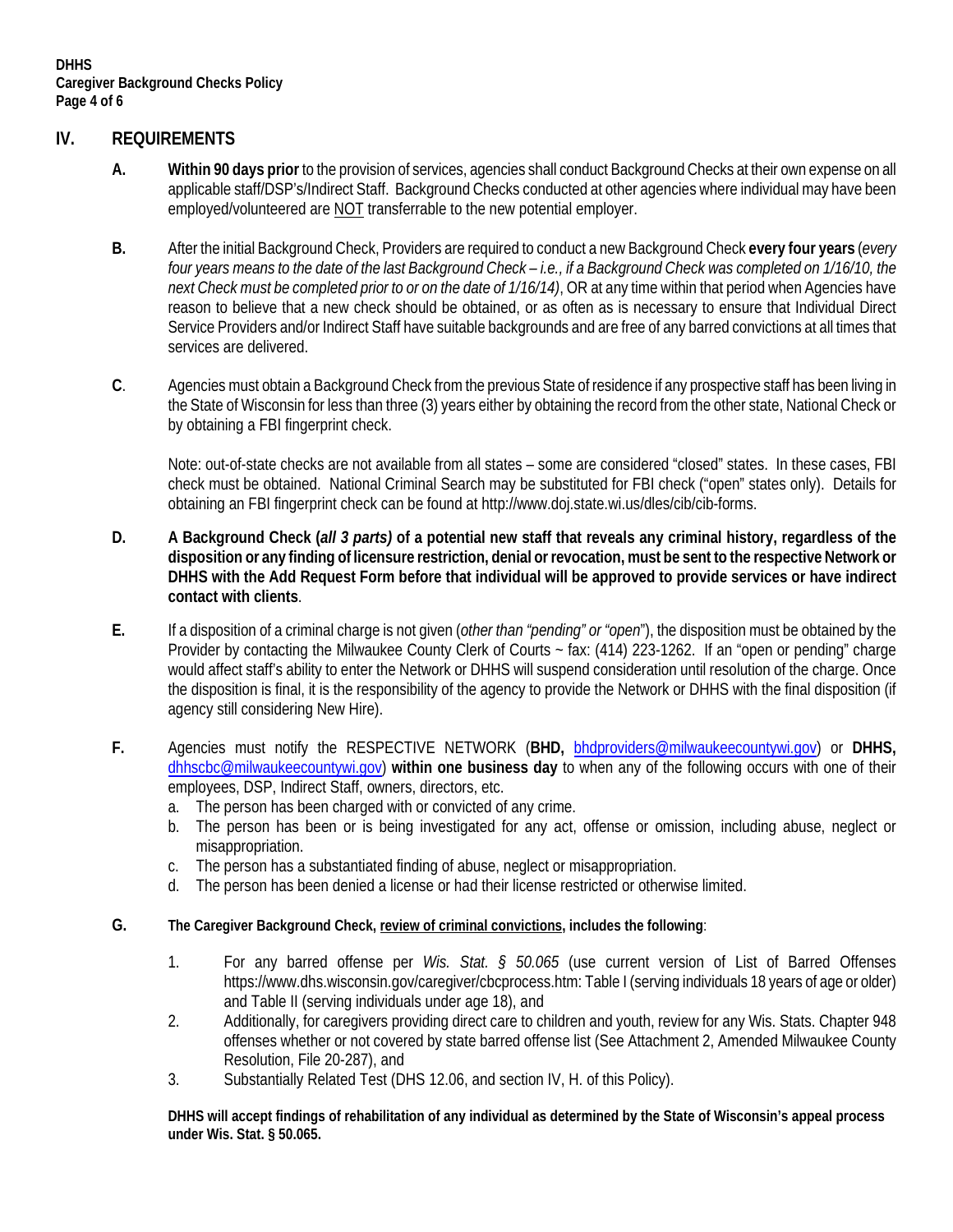### **IV. REQUIREMENTS**

- **A. Within 90 days prior** to the provision of services, agencies shall conduct Background Checks at their own expense on all applicable staff/DSP's/Indirect Staff. Background Checks conducted at other agencies where individual may have been employed/volunteered are NOT transferrable to the new potential employer.
- **B.** After the initial Background Check, Providers are required to conduct a new Background Check **every four years** (*every four years means to the date of the last Background Check – i.e., if a Background Check was completed on 1/16/10, the next Check must be completed prior to or on the date of 1/16/14)*, OR at any time within that period when Agencies have reason to believe that a new check should be obtained, or as often as is necessary to ensure that Individual Direct Service Providers and/or Indirect Staff have suitable backgrounds and are free of any barred convictions at all times that services are delivered.
- **C**. Agencies must obtain a Background Check from the previous State of residence if any prospective staff has been living in the State of Wisconsin for less than three (3) years either by obtaining the record from the other state, National Check or by obtaining a FBI fingerprint check.

Note: out-of-state checks are not available from all states – some are considered "closed" states. In these cases, FBI check must be obtained. National Criminal Search may be substituted for FBI check ("open" states only). Details for obtaining an FBI fingerprint check can be found at http://www.doj.state.wi.us/dles/cib/cib-forms.

- **D. A Background Check (***all 3 parts)* **of a potential new staff that reveals any criminal history, regardless of the disposition or any finding of licensure restriction, denial or revocation, must be sent to the respective Network or DHHS with the Add Request Form before that individual will be approved to provide services or have indirect contact with clients**.
- **E.** If a disposition of a criminal charge is not given (*other than "pending" or "open*"), the disposition must be obtained by the Provider by contacting the Milwaukee County Clerk of Courts ~ fax: (414) 223-1262. If an "open or pending" charge would affect staff's ability to enter the Network or DHHS will suspend consideration until resolution of the charge. Once the disposition is final, it is the responsibility of the agency to provide the Network or DHHS with the final disposition (if agency still considering New Hire).
- **F.** Agencies must notify the RESPECTIVE NETWORK (**BHD,** bhdproviders@milwaukeecountywi.gov) or **DHHS,** [dhhscbc@milwaukeecountywi.gov\)](mailto:dhhscbc@milwaukeecountywi.gov) **within one business day** to when any of the following occurs with one of their employees, DSP, Indirect Staff, owners, directors, etc.
	- a. The person has been charged with or convicted of any crime.
	- b. The person has been or is being investigated for any act, offense or omission, including abuse, neglect or misappropriation.
	- c. The person has a substantiated finding of abuse, neglect or misappropriation.
	- d. The person has been denied a license or had their license restricted or otherwise limited.
- **G. The Caregiver Background Check, review of criminal convictions, includes the following**:
	- 1. For any barred offense per *Wis. Stat. § 50.065* (use current version of List of Barred Offenses https://www.dhs.wisconsin.gov/caregiver/cbcprocess.htm: Table I (serving individuals 18 years of age or older) and Table II (serving individuals under age 18), and
	- 2. Additionally, for caregivers providing direct care to children and youth, review for any Wis. Stats. Chapter 948 offenses whether or not covered by state barred offense list (See Attachment 2, Amended Milwaukee County Resolution, File 20-287), and
	- 3. Substantially Related Test (DHS 12.06, and section IV, H. of this Policy).

**DHHS will accept findings of rehabilitation of any individual as determined by the State of Wisconsin's appeal process under Wis. Stat. § 50.065.**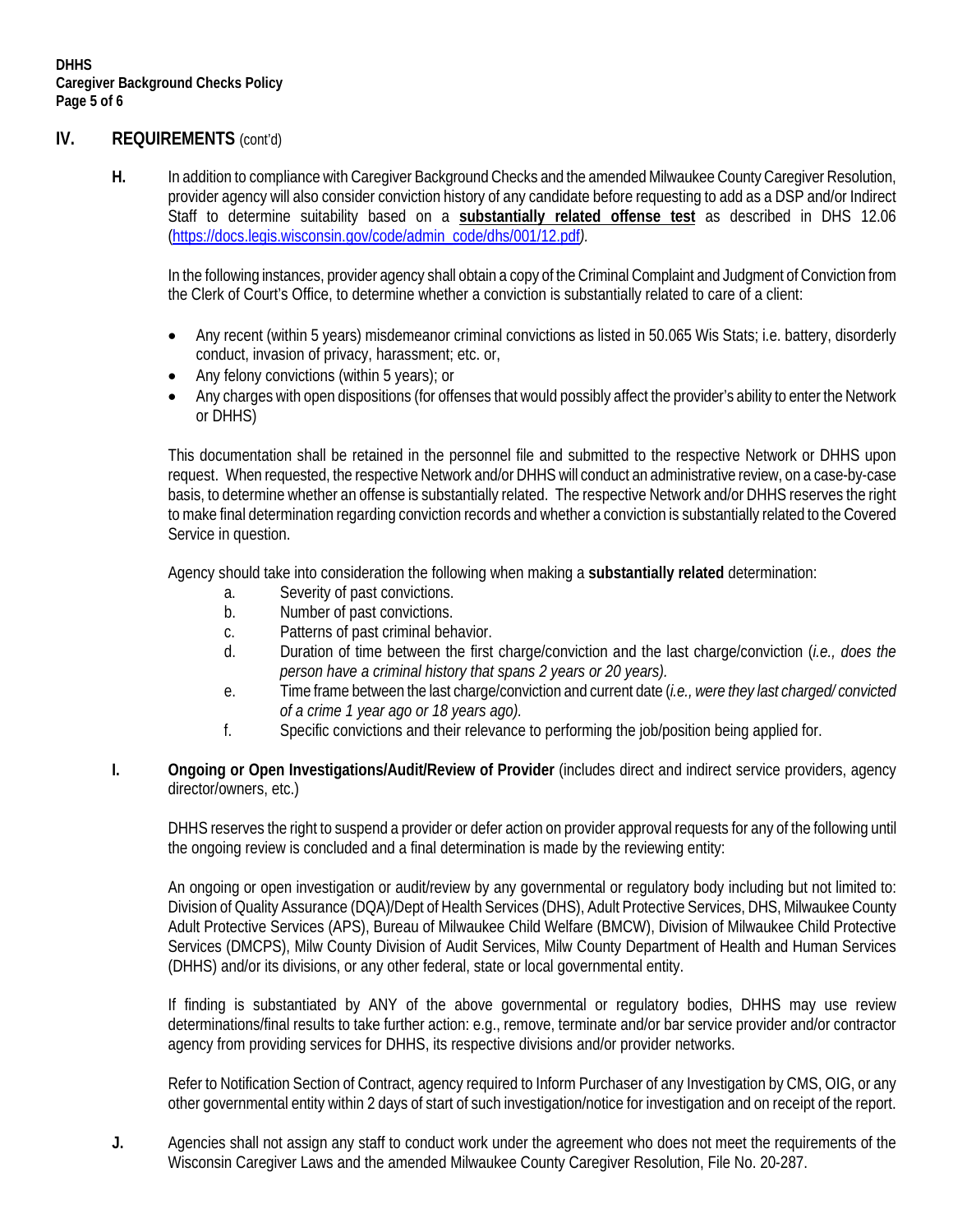### **IV. REQUIREMENTS** (cont'd)

**H.** In addition to compliance with Caregiver Background Checks and the amendedMilwaukee County Caregiver Resolution, provider agency will also consider conviction history of any candidate before requesting to add as a DSP and/or Indirect Staff to determine suitability based on a **substantially related offense test** as described in DHS 12.06 [\(https://docs.legis.wisconsin.gov/code/admin\\_code/dhs/001/12.pdf](https://docs.legis.wisconsin.gov/code/admin_code/dhs/001/12.pdf)*).*

In the following instances, provider agency shall obtain a copy of the Criminal Complaint and Judgment of Conviction from the Clerk of Court's Office, to determine whether a conviction is substantially related to care of a client:

- Any recent (within 5 years) misdemeanor criminal convictions as listed in 50.065 Wis Stats; i.e. battery, disorderly conduct, invasion of privacy, harassment; etc. or,
- Any felony convictions (within 5 years); or
- Any charges with open dispositions (for offenses that would possibly affect the provider's ability to enter the Network or DHHS)

This documentation shall be retained in the personnel file and submitted to the respective Network or DHHS upon request. When requested, the respective Network and/or DHHS will conduct an administrative review, on a case-by-case basis, to determine whether an offense is substantially related. The respective Network and/or DHHS reserves the right to make final determination regarding conviction records and whether a conviction is substantially related to the Covered Service in question.

Agency should take into consideration the following when making a **substantially related** determination:

- a. Severity of past convictions.
- b. Number of past convictions.
- c. Patterns of past criminal behavior.
- d. Duration of time between the first charge/conviction and the last charge/conviction (*i.e., does the person have a criminal history that spans 2 years or 20 years).*
- e. Time frame between the last charge/conviction and current date (*i.e., were they last charged/ convicted of a crime 1 year ago or 18 years ago).*
- f. Specific convictions and their relevance to performing the job/position being applied for.
- **I. Ongoing or Open Investigations/Audit/Review of Provider** (includes direct and indirect service providers, agency director/owners, etc.)

DHHS reserves the right to suspend a provider or defer action on provider approval requests for any of the following until the ongoing review is concluded and a final determination is made by the reviewing entity:

An ongoing or open investigation or audit/review by any governmental or regulatory body including but not limited to: Division of Quality Assurance (DQA)/Dept of Health Services (DHS), Adult Protective Services, DHS, Milwaukee County Adult Protective Services (APS), Bureau of Milwaukee Child Welfare (BMCW), Division of Milwaukee Child Protective Services (DMCPS), Milw County Division of Audit Services, Milw County Department of Health and Human Services (DHHS) and/or its divisions, or any other federal, state or local governmental entity.

If finding is substantiated by ANY of the above governmental or regulatory bodies, DHHS may use review determinations/final results to take further action: e.g., remove, terminate and/or bar service provider and/or contractor agency from providing services for DHHS, its respective divisions and/or provider networks.

Refer to Notification Section of Contract, agency required to Inform Purchaser of any Investigation by CMS, OIG, or any other governmental entity within 2 days of start of such investigation/notice for investigation and on receipt of the report.

**J.** Agencies shall not assign any staff to conduct work under the agreement who does not meet the requirements of the Wisconsin Caregiver Laws and the amended Milwaukee County Caregiver Resolution, File No. 20-287.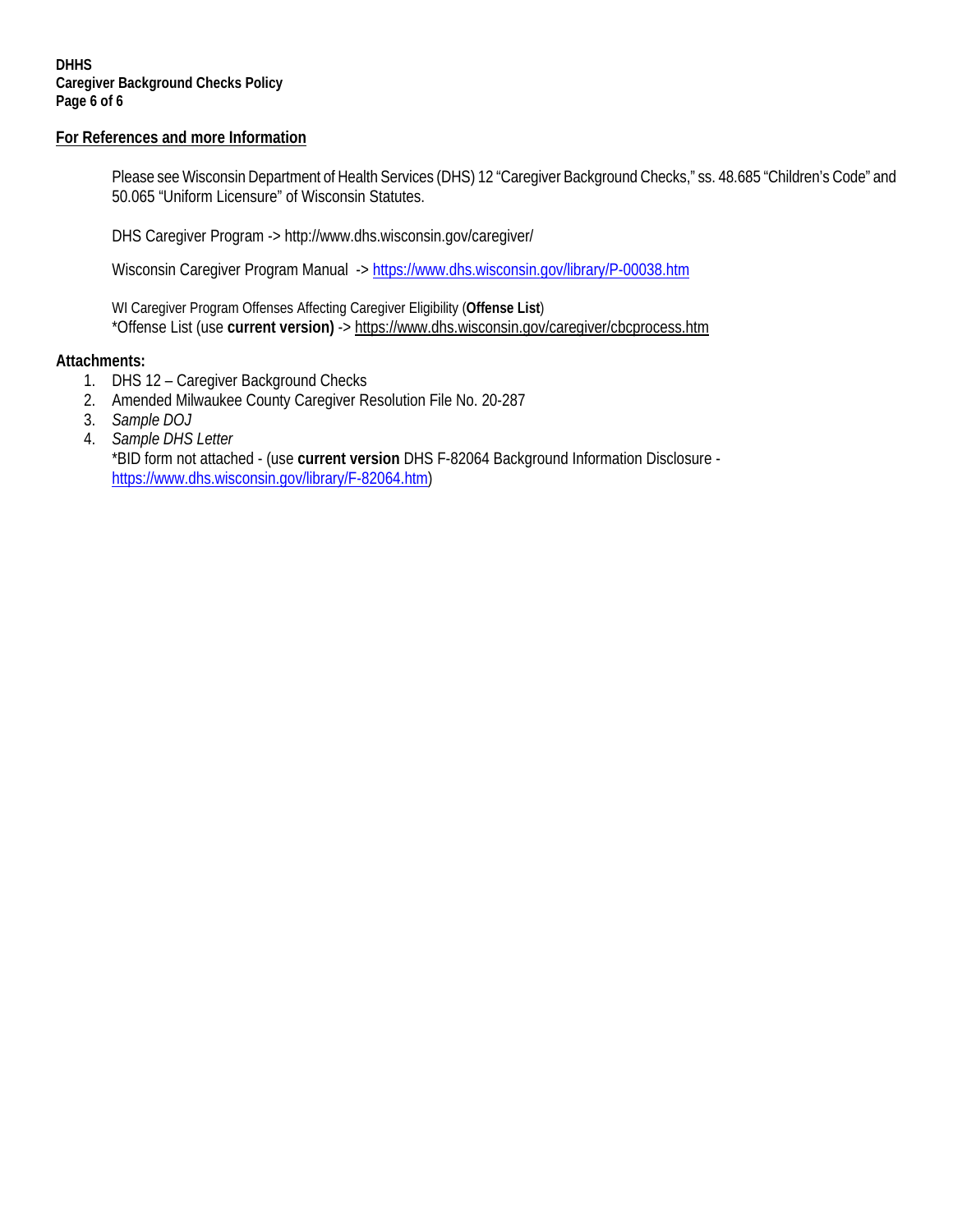### **DHHS Caregiver Background Checks Policy Page 6 of 6**

### **For References and more Information**

Please see Wisconsin Department of Health Services (DHS) 12 "Caregiver Background Checks," ss. 48.685 "Children's Code" and 50.065 "Uniform Licensure" of Wisconsin Statutes.

DHS Caregiver Program -><http://www.dhs.wisconsin.gov/caregiver/>

Wisconsin Caregiver Program Manual -> <https://www.dhs.wisconsin.gov/library/P-00038.htm>

WI Caregiver Program Offenses Affecting Caregiver Eligibility (**Offense List**) \*Offense List (use **current version)** -> https://www.dhs.wisconsin.gov/caregiver/cbcprocess.htm

### **Attachments:**

- 1. DHS 12 Caregiver Background Checks
- 2. Amended Milwaukee County Caregiver Resolution File No. 20-287
- 3. *Sample DOJ*
- 4. *Sample DHS Letter* \*BID form not attached - (use **current version** DHS F-82064 Background Information Disclosure [https://www.dhs.wisconsin.gov/library/F-82064.htm\)](https://www.dhs.wisconsin.gov/library/F-82064.htm)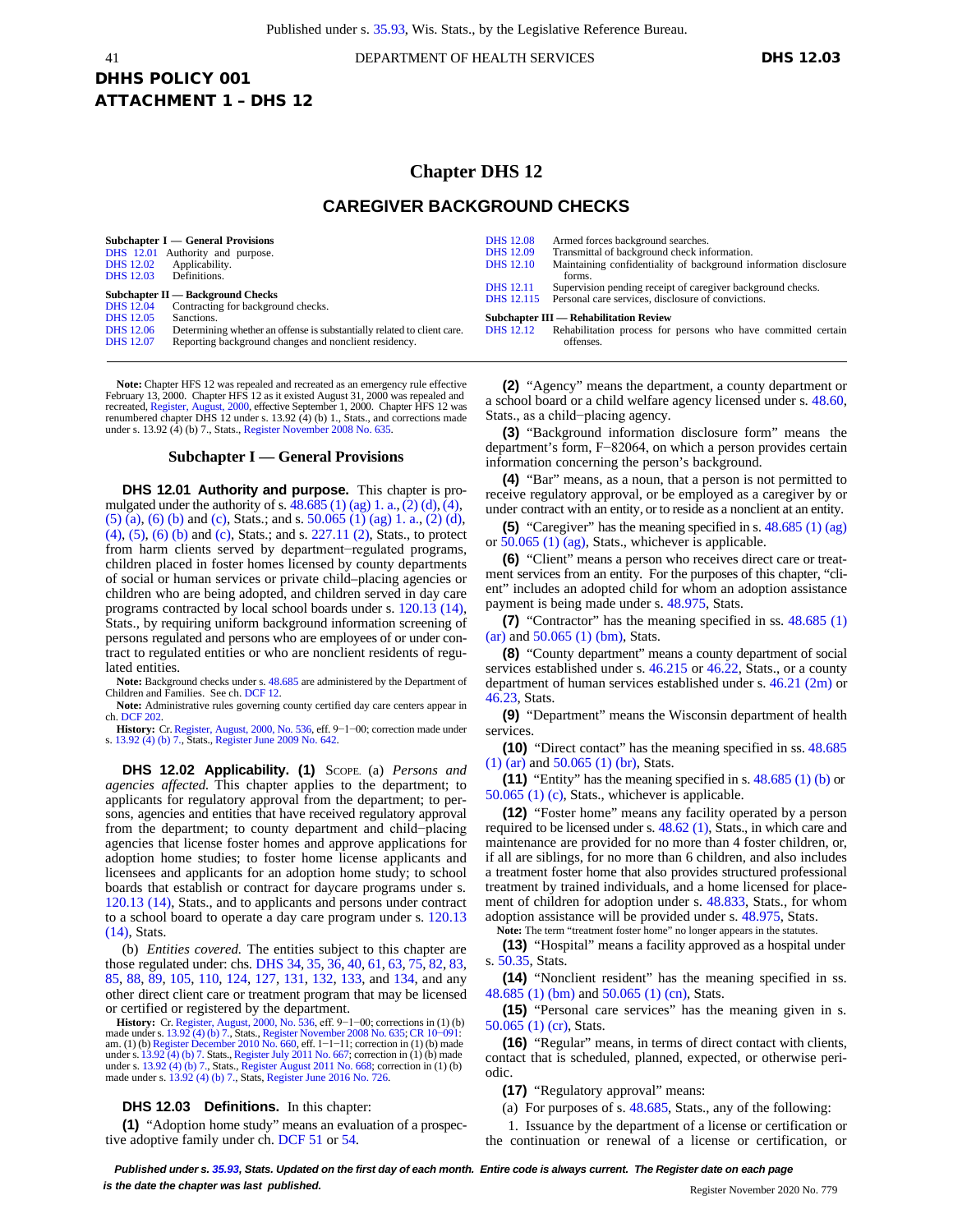#### 41 DEPARTMENT OF HEALTH SERVICES **DHS 12.03**

# DHHS POLICY 001 ATTACHMENT 1 – DHS 12

### **Chapter DHS 12**

### **CAREGIVER BACKGROUND CHECKS**

| Subchapter I — General Provisions<br>DHS 12.01 Authority and purpose.<br>Applicability.<br><b>DHS</b> 12.02<br>Definitions.<br><b>DHS</b> 12.03<br>Subchapter II — Background Checks<br>Contracting for background checks.<br><b>DHS</b> 12.04 |                                                                                                                                                | <b>DHS</b> 12.08<br>Armed forces background searches.<br>Transmittal of background check information.<br><b>DHS</b> 12.09<br>Maintaining confidentiality of background information disclosure<br><b>DHS</b> 12.10<br>forms.<br>Supervision pending receipt of caregiver background checks.<br><b>DHS</b> 12.11<br>DHS 12.115 Personal care services, disclosure of convictions.<br><b>Subchapter III - Rehabilitation Review</b> |                                                                            |
|------------------------------------------------------------------------------------------------------------------------------------------------------------------------------------------------------------------------------------------------|------------------------------------------------------------------------------------------------------------------------------------------------|----------------------------------------------------------------------------------------------------------------------------------------------------------------------------------------------------------------------------------------------------------------------------------------------------------------------------------------------------------------------------------------------------------------------------------|----------------------------------------------------------------------------|
| <b>DHS</b> 12.05<br><b>DHS</b> 12.06<br><b>DHS</b> 12.07                                                                                                                                                                                       | Sanctions.<br>Determining whether an offense is substantially related to client care.<br>Reporting background changes and nonclient residency. | <b>DHS</b> 12.12                                                                                                                                                                                                                                                                                                                                                                                                                 | Rehabilitation process for persons who have committed certain<br>offenses. |
|                                                                                                                                                                                                                                                |                                                                                                                                                |                                                                                                                                                                                                                                                                                                                                                                                                                                  |                                                                            |

**Note:** Chapter HFS 12 was repealed and recreated as an emergency rule effective February 13, 2000. Chapter HFS 12 as it existed August 31, 2000 was repealed and recreated, [Register,](https://docs.legis.wisconsin.gov/document/register/2000/B/toc) August, 2000, effective September 1, 2000. Chapter HFS 12 was renumbered chapter DHS 12 under s. 13.92 (4) (b) 1., Stats., and corrections made under s. 13.92 (4) (b) 7., Stats.[, Register November 2008 No. 635.](https://docs.legis.wisconsin.gov/document/register/635/B/toc)

#### **Subchapter I — General Provisions**

**DHS 12.01 Authority and purpose.** This chapter is promulgated under the authority of s.  $48.685(1)(ag) 1. a., (2)(d), (4),$  $48.685(1)(ag) 1. a., (2)(d), (4),$  $(5)$  [\(a\),](https://docs.legis.wisconsin.gov/document/statutes/48.685(5)(a)) [\(6\)](https://docs.legis.wisconsin.gov/document/statutes/48.685(6)(b)) (b) an[d \(c\),](https://docs.legis.wisconsin.gov/document/statutes/48.685(6)(c)) Stats.; and s.  $50.065$  (1) (ag) 1. a., [\(2\) \(d\),](https://docs.legis.wisconsin.gov/document/statutes/50.065(2)(d)) [\(4\),](https://docs.legis.wisconsin.gov/document/statutes/50.065(4)) [\(5\),](https://docs.legis.wisconsin.gov/document/statutes/50.065(5)) [\(6\) \(b\)](https://docs.legis.wisconsin.gov/document/statutes/50.065(6)(b)) and [\(c\),](https://docs.legis.wisconsin.gov/document/statutes/50.065(6)(c)) Stats.; and s. [227.11 \(2\),](https://docs.legis.wisconsin.gov/document/statutes/227.11(2)) Stats., to protect from harm clients served by department−regulated programs, children placed in foster homes licensed by county departments of social or human services or private child–placing agencies or children who are being adopted, and children served in day care programs contracted by local school boards under s. [120.13 \(14\),](https://docs.legis.wisconsin.gov/document/statutes/120.13(14)) Stats., by requiring uniform background information screening of persons regulated and persons who are employees of or under contract to regulated entities or who are nonclient residents of regulated entities.

**Note:** Background checks under s. [48.685](https://docs.legis.wisconsin.gov/document/statutes/48.685) are administered by the Department of Children and Families. See ch[. DCF 12.](https://docs.legis.wisconsin.gov/document/administrativecode/ch.%20DCF%2012)

**Note:** Administrative rules governing county certified day care centers appear in ch[. DCF 202.](https://docs.legis.wisconsin.gov/document/administrativecode/ch.%20DCF%20202)

**History:** Cr. Register, August, 2000, No. 536, eff. 9−1−00; correction made under s[. 13.92 \(4\) \(b\) 7.,](https://docs.legis.wisconsin.gov/document/statutes/13.92(4)(b)7) Stats.[, Register June 2009 No. 642.](https://docs.legis.wisconsin.gov/document/register/642/B/toc)

**DHS 12.02 Applicability. (1)** SCOPE. (a) *Persons and agencies affected.* This chapter applies to the department; to applicants for regulatory approval from the department; to persons, agencies and entities that have received regulatory approval from the department; to county department and child−placing agencies that license foster homes and approve applications for adoption home studies; to foster home license applicants and licensees and applicants for an adoption home study; to school boards that establish or contract for daycare programs under s. 120.13 [\(14\),](https://docs.legis.wisconsin.gov/document/statutes/120.13(14)) Stats., and to applicants and persons under contract to a school board to operate a day care program under s. [120.13](https://docs.legis.wisconsin.gov/document/statutes/120.13(14)) [\(14\),](https://docs.legis.wisconsin.gov/document/statutes/120.13(14)) Stats.

(b) *Entities covered.* The entities subject to this chapter are those regulated under: chs. [DHS](https://docs.legis.wisconsin.gov/document/administrativecode/ch.%20DHS%2034) 34, [35,](https://docs.legis.wisconsin.gov/document/administrativecode/ch.%20DHS%2035) [36,](https://docs.legis.wisconsin.gov/document/administrativecode/ch.%20DHS%2036) [40,](https://docs.legis.wisconsin.gov/document/administrativecode/ch.%20DHS%2040) [61,](https://docs.legis.wisconsin.gov/document/administrativecode/ch.%20DHS%2061) [63,](https://docs.legis.wisconsin.gov/document/administrativecode/ch.%20DHS%2063) [75,](https://docs.legis.wisconsin.gov/document/administrativecode/ch.%20DHS%2075) [82,](https://docs.legis.wisconsin.gov/document/administrativecode/ch.%20DHS%2082) [83,](https://docs.legis.wisconsin.gov/document/administrativecode/ch.%20DHS%2083) [85,](https://docs.legis.wisconsin.gov/document/administrativecode/ch.%20DHS%2085) [88,](https://docs.legis.wisconsin.gov/document/administrativecode/ch.%20DHS%2088) [89,](https://docs.legis.wisconsin.gov/document/administrativecode/ch.%20DHS%2089) [105,](https://docs.legis.wisconsin.gov/document/administrativecode/ch.%20DHS%20105) [110,](https://docs.legis.wisconsin.gov/document/administrativecode/ch.%20DHS%20110) [124,](https://docs.legis.wisconsin.gov/document/administrativecode/ch.%20DHS%20124) [127,](https://docs.legis.wisconsin.gov/document/administrativecode/ch.%20DHS%20127) [131,](https://docs.legis.wisconsin.gov/document/administrativecode/ch.%20DHS%20131) [132,](https://docs.legis.wisconsin.gov/document/administrativecode/ch.%20DHS%20132) [133,](https://docs.legis.wisconsin.gov/document/administrativecode/ch.%20DHS%20133) and [134,](https://docs.legis.wisconsin.gov/document/administrativecode/ch.%20DHS%20134) and any other direct client care or treatment program that may be licensed or certified or registered by the department.

**History:** Cr. [Register, August, 2000, No. 536](https://docs.legis.wisconsin.gov/document/register/536/B/toc), eff. 9−1−00; corrections in (1) (b) made under s. [13.92](https://docs.legis.wisconsin.gov/document/statutes/13.92(4)(b)7) (4) (b) 7., Stats., Register [November](https://docs.legis.wisconsin.gov/document/register/635/B/toc) 2008 No. 635; CR 10–091:<br>am. (1) (b) Register [December](https://docs.legis.wisconsin.gov/document/register/660/B/toc) 2010 No. 660, eff. 1–1–11; correction in (1) (b) made<br>under s. 13.92 (4) (b) 7. Stats., [Register](https://docs.legis.wisconsin.gov/document/register/667/B/toc) July 2011 No under s[. 13.92 \(4\) \(b\) 7.,](https://docs.legis.wisconsin.gov/document/statutes/13.92(4)(b)7) Stats.[, Register August 2011](https://docs.legis.wisconsin.gov/document/register/668/B/toc) No. 668; correction in (1) (b) made under s[. 13.92 \(4\) \(b\) 7.,](https://docs.legis.wisconsin.gov/document/statutes/13.92(4)(b)7) Stats[, Register June 2016 No. 726.](https://docs.legis.wisconsin.gov/document/register/726/B/toc)

#### **DHS 12.03 Definitions.** In this chapter:

**(1)** "Adoption home study" means an evaluation of a prospective adoptive family under ch. [DCF](https://docs.legis.wisconsin.gov/document/administrativecode/ch.%20DCF%2051) 51 o[r 54.](https://docs.legis.wisconsin.gov/document/administrativecode/ch.%20DCF%2054)

**(2)** "Agency" means the department, a county department or a school board or a child welfare agency licensed under s. [48.60,](https://docs.legis.wisconsin.gov/document/statutes/48.60) Stats., as a child−placing agency.

**(3)** "Background information disclosure form" means the department's form, F−82064, on which a person provides certain information concerning the person's background.

**(4)** "Bar" means, as a noun, that a person is not permitted to receive regulatory approval, or be employed as a caregiver by or under contract with an entity, or to reside as a nonclient at an entity.

**(5)** "Caregiver" has the meaning specified in s. [48.685](https://docs.legis.wisconsin.gov/document/statutes/48.685(1)(ag)) (1) (ag) or  $50.065$  (1) (ag), Stats., whichever is applicable.

**(6)** "Client" means a person who receives direct care or treatment services from an entity. For the purposes of this chapter, "client" includes an adopted child for whom an adoption assistance payment is being made under s. [48.975,](https://docs.legis.wisconsin.gov/document/statutes/48.975) Stats.

**(7)** "Contractor" has the meaning specified in ss. [48.685](https://docs.legis.wisconsin.gov/document/statutes/48.685(1)(ar)) (1) [\(ar\)](https://docs.legis.wisconsin.gov/document/statutes/48.685(1)(ar)) and [50.065](https://docs.legis.wisconsin.gov/document/statutes/50.065(1)(bm)) (1) (bm), Stats.

**(8)** "County department" means a county department of social services established under s. [46.215](https://docs.legis.wisconsin.gov/document/statutes/46.215) or [46.22,](https://docs.legis.wisconsin.gov/document/statutes/46.22) Stats., or a county department of human services established under s. [46.21 \(2m\)](https://docs.legis.wisconsin.gov/document/statutes/46.21(2m)) or [46.23,](https://docs.legis.wisconsin.gov/document/statutes/46.23) Stats.

**(9)** "Department" means the Wisconsin department of health services.

**(10)** "Direct contact" has the meaning specified in ss. [48.685](https://docs.legis.wisconsin.gov/document/statutes/48.685(1)(ar)) (1) [\(ar\)](https://docs.legis.wisconsin.gov/document/statutes/48.685(1)(ar)) and [50.065](https://docs.legis.wisconsin.gov/document/statutes/50.065(1)(br)) (1) (br), Stats.

**(11)** "Entity" has the meaning specified in s. [48.685](https://docs.legis.wisconsin.gov/document/statutes/48.685(1)(b)) (1) (b) or [50.065](https://docs.legis.wisconsin.gov/document/statutes/50.065(1)(c)) (1) (c), Stats., whichever is applicable.

**(12)** "Foster home" means any facility operated by a person required to be licensed under s. [48.62](https://docs.legis.wisconsin.gov/document/statutes/48.62(1)) (1), Stats., in which care and maintenance are provided for no more than 4 foster children, or, if all are siblings, for no more than 6 children, and also includes a treatment foster home that also provides structured professional treatment by trained individuals, and a home licensed for placement of children for adoption under s. [48.833,](https://docs.legis.wisconsin.gov/document/statutes/48.833) Stats., for whom adoption assistance will be provided under s. [48.975,](https://docs.legis.wisconsin.gov/document/statutes/48.975) Stats.

**Note:** The term "treatment foster home" no longer appears in the statutes.

**(13)** "Hospital" means a facility approved as a hospital under s. [50.35,](https://docs.legis.wisconsin.gov/document/statutes/50.35) Stats.

**(14)** "Nonclient resident" has the meaning specified in ss. [48.685](https://docs.legis.wisconsin.gov/document/statutes/48.685(1)(bm)) (1) (bm) and [50.065](https://docs.legis.wisconsin.gov/document/statutes/50.065(1)(cn)) (1) (cn), Stats.

**(15)** "Personal care services" has the meaning given in s. [50.065](https://docs.legis.wisconsin.gov/document/statutes/50.065(1)(cr)) (1) (cr), Stats.

**(16)** "Regular" means, in terms of direct contact with clients, contact that is scheduled, planned, expected, or otherwise periodic.

**(17)** "Regulatory approval" means:

(a) For purposes of s. [48.685,](https://docs.legis.wisconsin.gov/document/statutes/48.685) Stats., any of the following:

1. Issuance by the department of a license or certification or the continuation or renewal of a license or certification, or

Published under s. [35.93,](https://docs.legis.wisconsin.gov/document/statutes/35.93) Stats. Updated on the first day of each month. Entire code is always current. The Register date on each page **is the date the chapter was last published. is the date the chapter was last published.** Register November 2020 No. 779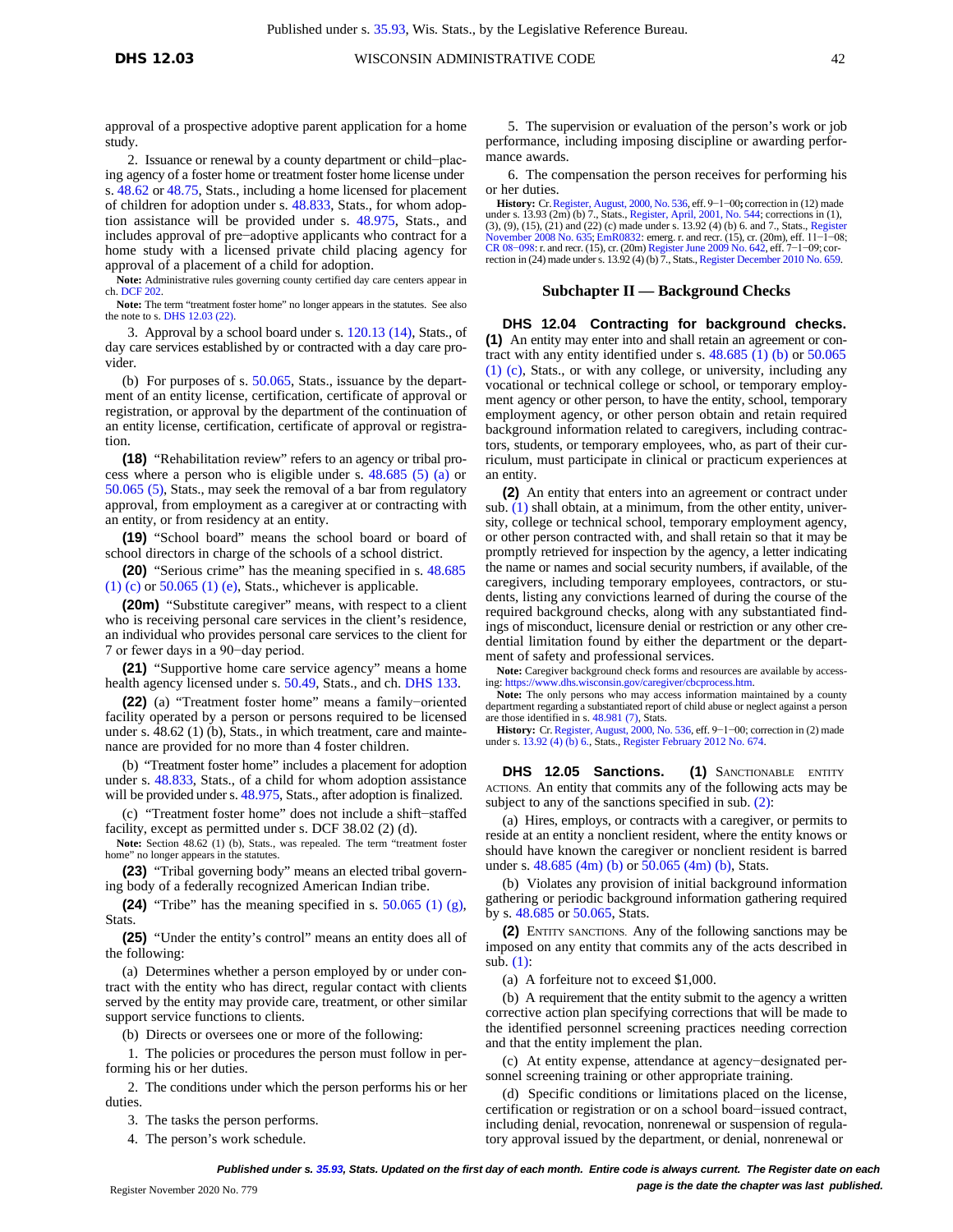approval of a prospective adoptive parent application for a home study.

2. Issuance or renewal by a county department or child−placing agency of a foster home or treatment foster home license under s. [48.62](https://docs.legis.wisconsin.gov/document/statutes/48.62) or [48.75,](https://docs.legis.wisconsin.gov/document/statutes/48.75) Stats., including a home licensed for placement of children for adoption under s. [48.833,](https://docs.legis.wisconsin.gov/document/statutes/48.833) Stats., for whom adoption assistance will be provided under s. [48.975,](https://docs.legis.wisconsin.gov/document/statutes/48.975) Stats., and includes approval of pre−adoptive applicants who contract for a home study with a licensed private child placing agency for approval of a placement of a child for adoption.

**Note:** Administrative rules governing county certified day care centers appear in ch[. DCF 202.](https://docs.legis.wisconsin.gov/document/administrativecode/ch.%20DCF%20202) **Note:** The term "treatment foster home" no longer appears in the statutes. See also

the note to s[. DHS 12.03 \(22\).](https://docs.legis.wisconsin.gov/document/administrativecode/DHS%2012.03(22))

3. Approval by a school board under s. [120.13 \(14\),](https://docs.legis.wisconsin.gov/document/statutes/120.13(14)) Stats., of day care services established by or contracted with a day care provider.

(b) For purposes of s. [50.065,](https://docs.legis.wisconsin.gov/document/statutes/50.065) Stats., issuance by the department of an entity license, certification, certificate of approval or registration, or approval by the department of the continuation of an entity license, certification, certificate of approval or registration.

**(18)** "Rehabilitation review" refers to an agency or tribal process where a person who is eligible under s. [48.685](https://docs.legis.wisconsin.gov/document/statutes/48.685(5)(a)) (5) (a) or [50.065](https://docs.legis.wisconsin.gov/document/statutes/50.065(5)) (5), Stats., may seek the removal of a bar from regulatory approval, from employment as a caregiver at or contracting with an entity, or from residency at an entity.

**(19)** "School board" means the school board or board of school directors in charge of the schools of a school district.

**(20)** "Serious crime" has the meaning specified in s. [48.685](https://docs.legis.wisconsin.gov/document/statutes/48.685(1)(c))  $(1)$  [\(c\)](https://docs.legis.wisconsin.gov/document/statutes/48.685(1)(c)) o[r 50.065](https://docs.legis.wisconsin.gov/document/statutes/50.065(1)(e)) (1) (e), Stats., whichever is applicable.

**(20m)** "Substitute caregiver" means, with respect to a client who is receiving personal care services in the client's residence, an individual who provides personal care services to the client for 7 or fewer days in a 90−day period.

**(21)** "Supportive home care service agency" means a home health agency licensed under s. [50.49,](https://docs.legis.wisconsin.gov/document/statutes/50.49) Stats., and ch. [DHS](https://docs.legis.wisconsin.gov/document/administrativecode/ch.%20DHS%20133) 133.

**(22)** (a) "Treatment foster home" means a family−oriented facility operated by a person or persons required to be licensed under s. 48.62 (1) (b), Stats., in which treatment, care and maintenance are provided for no more than 4 foster children.

(b) "Treatment foster home" includes a placement for adoption under s. [48.833,](https://docs.legis.wisconsin.gov/document/statutes/48.833) Stats., of a child for whom adoption assistance will be provided under s. [48.975,](https://docs.legis.wisconsin.gov/document/statutes/48.975) Stats., after adoption is finalized.

(c) "Treatment foster home" does not include a shift−staffed facility, except as permitted under s. DCF 38.02 (2) (d).

**Note:** Section 48.62 (1) (b), Stats., was repealed. The term "treatment foster home" no longer appears in the statutes.

**(23)** "Tribal governing body" means an elected tribal governing body of a federally recognized American Indian tribe.

**(24)** "Tribe" has the meaning specified in s. [50.065](https://docs.legis.wisconsin.gov/document/statutes/50.065(1)(g)) (1) (g), **Stats** 

**(25)** "Under the entity's control" means an entity does all of the following:

(a) Determines whether a person employed by or under contract with the entity who has direct, regular contact with clients served by the entity may provide care, treatment, or other similar support service functions to clients.

(b) Directs or oversees one or more of the following:

1. The policies or procedures the person must follow in performing his or her duties.

2. The conditions under which the person performs his or her duties.

3. The tasks the person performs.

4. The person's work schedule.

5. The supervision or evaluation of the person's work or job performance, including imposing discipline or awarding performance awards.

6. The compensation the person receives for performing his or her duties.

**History:** C[r.Register,](https://docs.legis.wisconsin.gov/document/register/536/B/toc) August, 2000, No. 536, eff. 9−1−00**;** correction in (12) made under s. 13.93 (2m) (b) 7., Stats.[, Register, April, 2001, No. 544;](https://docs.legis.wisconsin.gov/document/register/544/B/toc) corrections in (1), (3), (9), (15), (21) and (22) (c) made under s. 13.92 (4) (b) 6. and 7., Stats., Regist ember 2008 No. 635; [EmR0832:](https://docs.legis.wisconsin.gov/document/emergencyrules/EmR0832) emerg. r. and recr. (15), cr. (20m), eff. 11-1<sup>-</sup>08; CR [08−098](https://docs.legis.wisconsin.gov/document/cr/2008/98): r. and recr. (15), cr. (20m) [Register](https://docs.legis.wisconsin.gov/document/register/642/B/toc) June 2009 No. 642, eff. 7−1−09; cor-rection in (24) made under s. 13.92 (4) (b) 7., Stats., Register [December](https://docs.legis.wisconsin.gov/document/register/659/B/toc) 2010 No. 659.

#### **Subchapter II — Background Checks**

**DHS 12.04 Contracting for background checks. (1)** An entity may enter into and shall retain an agreement or contract with any entity identified under s. [48.685](https://docs.legis.wisconsin.gov/document/statutes/48.685(1)(b)) (1) (b) or [50.065](https://docs.legis.wisconsin.gov/document/statutes/50.065(1)(c)) (1) [\(c\),](https://docs.legis.wisconsin.gov/document/statutes/50.065(1)(c)) Stats., or with any college, or university, including any vocational or technical college or school, or temporary employment agency or other person, to have the entity, school, temporary employment agency, or other person obtain and retain required background information related to caregivers, including contractors, students, or temporary employees, who, as part of their curriculum, must participate in clinical or practicum experiences at an entity.

**(2)** An entity that enters into an agreement or contract under sub. [\(1\)](https://docs.legis.wisconsin.gov/document/administrativecode/DHS%2012.04(1)) shall obtain, at a minimum, from the other entity, university, college or technical school, temporary employment agency, or other person contracted with, and shall retain so that it may be promptly retrieved for inspection by the agency, a letter indicating the name or names and social security numbers, if available, of the caregivers, including temporary employees, contractors, or students, listing any convictions learned of during the course of the required background checks, along with any substantiated findings of misconduct, licensure denial or restriction or any other credential limitation found by either the department or the department of safety and professional services.

**Note:** Caregiver background check forms and resources are available by accessing[: https://www.dhs.wisconsin.gov/caregiver/cbcprocess.htm.](https://www.dhs.wisconsin.gov/caregiver/cbcprocess.htm)

**Note:** The only persons who may access information maintained by a county department regarding a substantiated report of child abuse or neglect against a person are those identified in s[. 48.981](https://docs.legis.wisconsin.gov/document/statutes/48.981(7)) (7), Stats.

History: Cr. Register, August, 2000, No. 536, eff. 9-1-00; correction in (2) made under s[. 13.92 \(4\) \(b\) 6.,](https://docs.legis.wisconsin.gov/document/statutes/13.92(4)(b)6) Stats.[, Register February 2012 No. 674.](https://docs.legis.wisconsin.gov/document/register/674/B/toc)

**DHS 12.05 Sanctions. (1)** SANCTIONABLE ENTITY ACTIONS. An entity that commits any of the following acts may be subject to any of the sanctions specified in sub. [\(2\):](https://docs.legis.wisconsin.gov/document/administrativecode/DHS%2012.05(2))

(a) Hires, employs, or contracts with a caregiver, or permits to reside at an entity a nonclient resident, where the entity knows or should have known the caregiver or nonclient resident is barred under s. [48.685](https://docs.legis.wisconsin.gov/document/statutes/48.685(4m)(b)) (4m) (b) o[r 50.065](https://docs.legis.wisconsin.gov/document/statutes/50.065(4m)(b)) (4m) (b), Stats.

(b) Violates any provision of initial background information gathering or periodic background information gathering required by s[. 48.685](https://docs.legis.wisconsin.gov/document/statutes/48.685) o[r 50.065,](https://docs.legis.wisconsin.gov/document/statutes/50.065) Stats.

**(2)** ENTITY SANCTIONS. Any of the following sanctions may be imposed on any entity that commits any of the acts described in sub. [\(1\):](https://docs.legis.wisconsin.gov/document/administrativecode/DHS%2012.05(1))

(a) A forfeiture not to exceed \$1,000.

(b) A requirement that the entity submit to the agency a written corrective action plan specifying corrections that will be made to the identified personnel screening practices needing correction and that the entity implement the plan.

(c) At entity expense, attendance at agency−designated personnel screening training or other appropriate training.

(d) Specific conditions or limitations placed on the license, certification or registration or on a school board−issued contract, including denial, revocation, nonrenewal or suspension of regulatory approval issued by the department, or denial, nonrenewal or

*Published under s[. 35.93,](https://docs.legis.wisconsin.gov/document/statutes/35.93) Stats. Updated on the first day of each month. Entire code is always current. The Register date on each* **Page is the date the chapter was last** *published.* **Property the chapter was last** *published.* **Register November 2020 No. 779**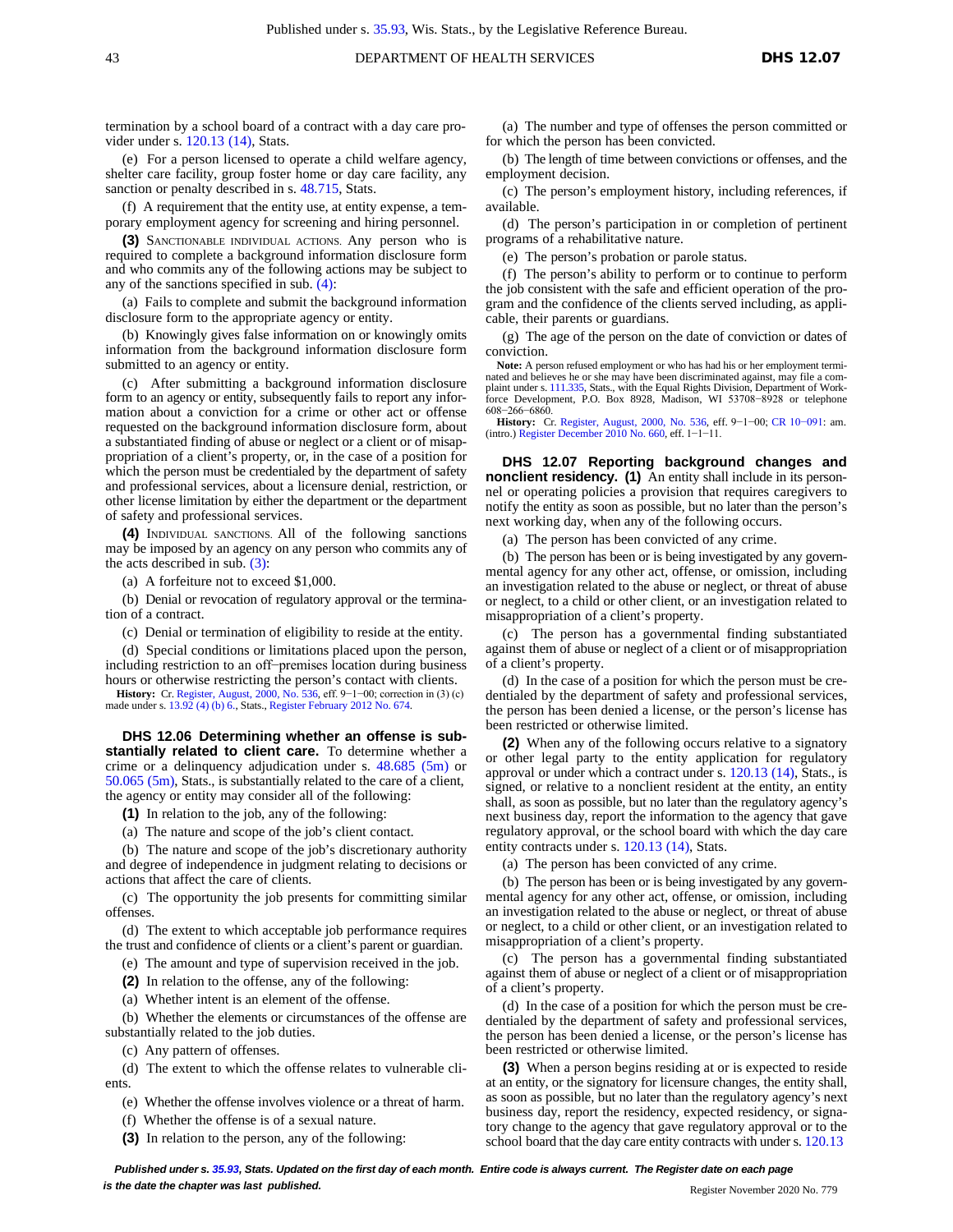termination by a school board of a contract with a day care provider under s. [120.13](https://docs.legis.wisconsin.gov/document/statutes/120.13(14)) (14), Stats.

(e) For a person licensed to operate a child welfare agency, shelter care facility, group foster home or day care facility, any sanction or penalty described in s. [48.715,](https://docs.legis.wisconsin.gov/document/statutes/48.715) Stats.

(f) A requirement that the entity use, at entity expense, a temporary employment agency for screening and hiring personnel.

**(3)** SANCTIONABLE INDIVIDUAL ACTIONS. Any person who is required to complete a background information disclosure form and who commits any of the following actions may be subject to any of the sanctions specified in sub. [\(4\):](https://docs.legis.wisconsin.gov/document/administrativecode/DHS%2012.05(4))

(a) Fails to complete and submit the background information disclosure form to the appropriate agency or entity.

(b) Knowingly gives false information on or knowingly omits information from the background information disclosure form submitted to an agency or entity.

(c) After submitting a background information disclosure form to an agency or entity, subsequently fails to report any information about a conviction for a crime or other act or offense requested on the background information disclosure form, about a substantiated finding of abuse or neglect or a client or of misappropriation of a client's property, or, in the case of a position for which the person must be credentialed by the department of safety and professional services, about a licensure denial, restriction, or other license limitation by either the department or the department of safety and professional services.

**(4)** INDIVIDUAL SANCTIONS. All of the following sanctions may be imposed by an agency on any person who commits any of the acts described in sub.  $(3)$ :

(a) A forfeiture not to exceed \$1,000.

(b) Denial or revocation of regulatory approval or the termination of a contract.

(c) Denial or termination of eligibility to reside at the entity.

(d) Special conditions or limitations placed upon the person, including restriction to an off−premises location during business hours or otherwise restricting the person's contact with clients.

**History:** Cr. [Register,](https://docs.legis.wisconsin.gov/document/register/536/B/toc) August, 2000, No. 536, eff. 9−1−00; correction in (3) (c) made under s[. 13.92 \(4\) \(b\) 6.,](https://docs.legis.wisconsin.gov/document/statutes/13.92(4)(b)6) Stats.[, Register February 2012 No. 674.](https://docs.legis.wisconsin.gov/document/register/674/B/toc)

**DHS 12.06 Determining whether an offense is substantially related to client care.** To determine whether a crime or a delinquency adjudication under s. [48.685](https://docs.legis.wisconsin.gov/document/statutes/48.685(5m)) (5m) or [50.065](https://docs.legis.wisconsin.gov/document/statutes/50.065(5m)) (5m), Stats., is substantially related to the care of a client, the agency or entity may consider all of the following:

**(1)** In relation to the job, any of the following:

(a) The nature and scope of the job's client contact.

(b) The nature and scope of the job's discretionary authority and degree of independence in judgment relating to decisions or actions that affect the care of clients.

(c) The opportunity the job presents for committing similar offenses.

(d) The extent to which acceptable job performance requires the trust and confidence of clients or a client's parent or guardian.

(e) The amount and type of supervision received in the job.

**(2)** In relation to the offense, any of the following:

(a) Whether intent is an element of the offense.

(b) Whether the elements or circumstances of the offense are substantially related to the job duties.

(c) Any pattern of offenses.

(d) The extent to which the offense relates to vulnerable clients.

(e) Whether the offense involves violence or a threat of harm.

(f) Whether the offense is of a sexual nature.

**(3)** In relation to the person, any of the following:

(a) The number and type of offenses the person committed or for which the person has been convicted.

(b) The length of time between convictions or offenses, and the employment decision.

(c) The person's employment history, including references, if available.

(d) The person's participation in or completion of pertinent programs of a rehabilitative nature.

(e) The person's probation or parole status.

(f) The person's ability to perform or to continue to perform the job consistent with the safe and efficient operation of the program and the confidence of the clients served including, as applicable, their parents or guardians.

(g) The age of the person on the date of conviction or dates of conviction.

**Note:** A person refused employment or who has had his or her employment terminated and believes he or she may have been discriminated against, may file a complaint under s. [111.335,](https://docs.legis.wisconsin.gov/document/statutes/111.335) Stats., with the Equal Rights Division, Department of Work-force Development, P.O. Box 8928, Madison, WI 53708−8928 or telephone 608−266−6860.

**History:** Cr. [Register,](https://docs.legis.wisconsin.gov/document/register/536/B/toc) August, 2000, No. 536, eff. 9−1−00; CR [10−091](https://docs.legis.wisconsin.gov/document/cr/2010/91): am. (intro.) [Register December 2010 No. 660,](https://docs.legis.wisconsin.gov/document/register/660/B/toc) eff. 1−1−11.

**DHS 12.07 Reporting background changes and nonclient residency. (1)** An entity shall include in its personnel or operating policies a provision that requires caregivers to notify the entity as soon as possible, but no later than the person's next working day, when any of the following occurs.

(a) The person has been convicted of any crime.

(b) The person has been or is being investigated by any governmental agency for any other act, offense, or omission, including an investigation related to the abuse or neglect, or threat of abuse or neglect, to a child or other client, or an investigation related to misappropriation of a client's property.

(c) The person has a governmental finding substantiated against them of abuse or neglect of a client or of misappropriation of a client's property.

(d) In the case of a position for which the person must be credentialed by the department of safety and professional services, the person has been denied a license, or the person's license has been restricted or otherwise limited.

**(2)** When any of the following occurs relative to a signatory or other legal party to the entity application for regulatory approval or under which a contract under s. [120.13 \(14\),](https://docs.legis.wisconsin.gov/document/statutes/120.13(14)) Stats., is signed, or relative to a nonclient resident at the entity, an entity shall, as soon as possible, but no later than the regulatory agency's next business day, report the information to the agency that gave regulatory approval, or the school board with which the day care entity contracts under s. [120.13](https://docs.legis.wisconsin.gov/document/statutes/120.13(14)) (14), Stats.

(a) The person has been convicted of any crime.

(b) The person has been or is being investigated by any governmental agency for any other act, offense, or omission, including an investigation related to the abuse or neglect, or threat of abuse or neglect, to a child or other client, or an investigation related to misappropriation of a client's property.

(c) The person has a governmental finding substantiated against them of abuse or neglect of a client or of misappropriation of a client's property.

(d) In the case of a position for which the person must be credentialed by the department of safety and professional services, the person has been denied a license, or the person's license has been restricted or otherwise limited.

**(3)** When a person begins residing at or is expected to reside at an entity, or the signatory for licensure changes, the entity shall, as soon as possible, but no later than the regulatory agency's next business day, report the residency, expected residency, or signatory change to the agency that gave regulatory approval or to the school board that the day care entity contracts with under s. 120.13

Published under s. [35.93,](https://docs.legis.wisconsin.gov/document/statutes/35.93) Stats. Updated on the first day of each month. Entire code is always current. The Register date on each page *is the date the chapter was last published. is the date the chapter was last published.* Register November 2020 No. 779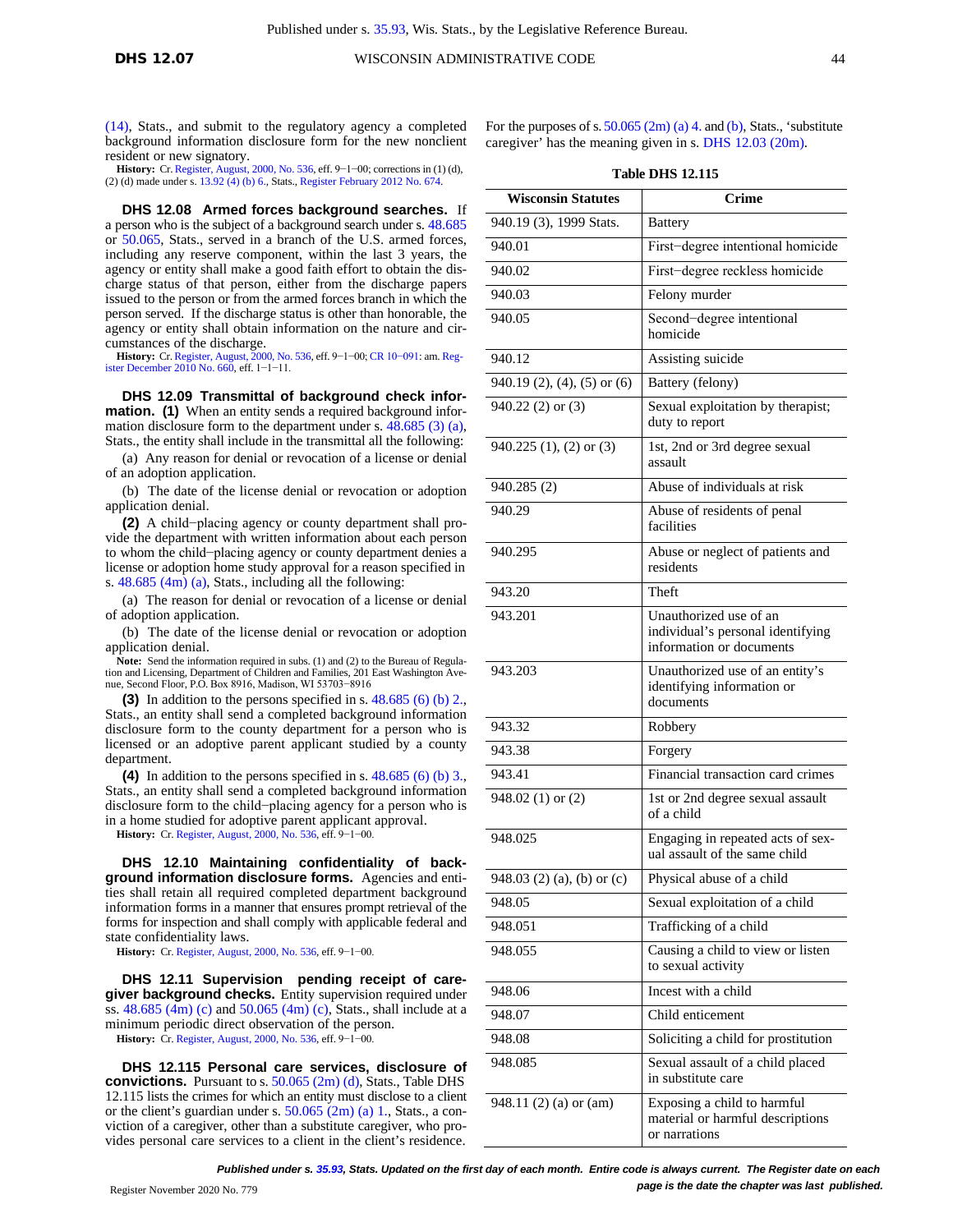[\(14\),](https://docs.legis.wisconsin.gov/document/statutes/120.13(14)) Stats., and submit to the regulatory agency a completed background information disclosure form for the new nonclient resident or new signatory. **History:** Cr. [Register,](https://docs.legis.wisconsin.gov/document/register/536/B/toc) August, 2000, No. 536, eff. 9−1−00; corrections in (1) (d),

(2) (d) made under s[. 13.92 \(4\) \(b\) 6.,](https://docs.legis.wisconsin.gov/document/statutes/13.92(4)(b)6) Stats.[, Register February 2012 No. 674.](https://docs.legis.wisconsin.gov/document/register/674/B/toc)

**DHS 12.08 Armed forces background searches.** If a person who is the subject of a background search under s. [48.685](https://docs.legis.wisconsin.gov/document/statutes/48.685) or [50.065,](https://docs.legis.wisconsin.gov/document/statutes/50.065) Stats., served in a branch of the U.S. armed forces, including any reserve component, within the last 3 years, the agency or entity shall make a good faith effort to obtain the discharge status of that person, either from the discharge papers issued to the person or from the armed forces branch in which the person served. If the discharge status is other than honorable, the agency or entity shall obtain information on the nature and circumstances of the discharge.

**History:** Cr[.Register,](https://docs.legis.wisconsin.gov/document/register/536/B/toc) August, 2000, No. 536, eff. 9−1−00; CR [10−091](https://docs.legis.wisconsin.gov/document/cr/2010/91): am. [Reg](https://docs.legis.wisconsin.gov/document/register/660/B/toc)[ister December 2010 No. 660,](https://docs.legis.wisconsin.gov/document/register/660/B/toc) eff. 1−1−11.

**DHS 12.09 Transmittal of background check information. (1)** When an entity sends a required background information disclosure form to the department under s. [48.685 \(3\)](https://docs.legis.wisconsin.gov/document/statutes/48.685(3)(a)) (a), Stats., the entity shall include in the transmittal all the following:

(a) Any reason for denial or revocation of a license or denial of an adoption application.

(b) The date of the license denial or revocation or adoption application denial.

**(2)** A child−placing agency or county department shall provide the department with written information about each person to whom the child−placing agency or county department denies a license or adoption home study approval for a reason specified in s. [48.685](https://docs.legis.wisconsin.gov/document/statutes/48.685(4m)(a)) (4m) (a), Stats., including all the following:

(a) The reason for denial or revocation of a license or denial of adoption application.

(b) The date of the license denial or revocation or adoption application denial.

**Note:** Send the information required in subs. (1) and (2) to the Bureau of Regulation and Licensing, Department of Children and Families, 201 East Washington Ave-nue, Second Floor, P.O. Box 8916, Madison, WI 53703−8916

**(3)** In addition to the persons specified in s. [48.685 \(6\) \(b\) 2.,](https://docs.legis.wisconsin.gov/document/statutes/48.685(6)(b)2) Stats., an entity shall send a completed background information disclosure form to the county department for a person who is licensed or an adoptive parent applicant studied by a county department.

**(4)** In addition to the persons specified in s. [48.685 \(6\) \(b\) 3.,](https://docs.legis.wisconsin.gov/document/statutes/48.685(6)(b)3) Stats., an entity shall send a completed background information disclosure form to the child−placing agency for a person who is in a home studied for adoptive parent applicant approval.

**History:** Cr. Register, [August, 2000, No. 536,](https://docs.legis.wisconsin.gov/document/register/536/B/toc) eff. 9−1−00.

**DHS 12.10 Maintaining confidentiality of background information disclosure forms.** Agencies and entities shall retain all required completed department background information forms in a manner that ensures prompt retrieval of the forms for inspection and shall comply with applicable federal and state confidentiality laws.

**History:** Cr. Register, [August, 2000, No. 536,](https://docs.legis.wisconsin.gov/document/register/536/B/toc) eff. 9−1−00.

**DHS 12.11 Supervision pending receipt of caregiver background checks.** Entity supervision required under ss. [48.685](https://docs.legis.wisconsin.gov/document/statutes/48.685(4m)(c)) (4m) (c) and [50.065](https://docs.legis.wisconsin.gov/document/statutes/50.065(4m)(c)) (4m) (c), Stats., shall include at a minimum periodic direct observation of the person.

**History:** Cr. Register, [August, 2000, No. 536,](https://docs.legis.wisconsin.gov/document/register/536/B/toc) eff. 9−1−00.

**DHS 12.115 Personal care services, disclosure of convictions.** Pursuant to s. [50.065 \(2m\) \(d\),](https://docs.legis.wisconsin.gov/document/statutes/50.065(2m)(d)) Stats., Table DHS 12.115 lists the crimes for which an entity must disclose to a client or the client's guardian under s. [50.065 \(2m\) \(a\) 1.,](https://docs.legis.wisconsin.gov/document/statutes/50.065(2m)(a)1) Stats., a conviction of a caregiver, other than a substitute caregiver, who provides personal care services to a client in the client's residence.

| For the purposes of s. $50.065$ (2m) (a) 4. and (b), Stats., 'substitute |
|--------------------------------------------------------------------------|
| caregiver' has the meaning given in s. DHS $12.03$ (20m).                |

**Table DHS 12.115**

| <b>Wisconsin Statutes</b>   | Crime                                                                                   |
|-----------------------------|-----------------------------------------------------------------------------------------|
| 940.19 (3), 1999 Stats.     | <b>Battery</b>                                                                          |
| 940.01                      | First-degree intentional homicide                                                       |
| 940.02                      | First-degree reckless homicide                                                          |
| 940.03                      | Felony murder                                                                           |
| 940.05                      | Second-degree intentional<br>homicide                                                   |
| 940.12                      | Assisting suicide                                                                       |
| 940.19 (2), (4), (5) or (6) | Battery (felony)                                                                        |
| $940.22$ (2) or (3)         | Sexual exploitation by therapist;<br>duty to report                                     |
| 940.225 (1), (2) or (3)     | 1st, 2nd or 3rd degree sexual<br>assault                                                |
| 940.285 (2)                 | Abuse of individuals at risk                                                            |
| 940.29                      | Abuse of residents of penal<br>facilities                                               |
| 940.295                     | Abuse or neglect of patients and<br>residents                                           |
| 943.20                      | Theft                                                                                   |
| 943.201                     | Unauthorized use of an<br>individual's personal identifying<br>information or documents |
| 943.203                     | Unauthorized use of an entity's<br>identifying information or<br>documents              |
| 943.32                      | Robbery                                                                                 |
| 943.38                      | Forgery                                                                                 |
| 943.41                      | Financial transaction card crimes                                                       |
| 948.02 (1) or (2)           | 1st or 2nd degree sexual assault<br>of a child                                          |
| 948.025                     | Engaging in repeated acts of sex-<br>ual assault of the same child                      |
| 948.03 (2) (a), (b) or (c)  | Physical abuse of a child                                                               |
| 948.05                      | Sexual exploitation of a child                                                          |
| 948.051                     | Trafficking of a child                                                                  |
| 948.055                     | Causing a child to view or listen<br>to sexual activity                                 |
| 948.06                      | Incest with a child                                                                     |
| 948.07                      | Child enticement                                                                        |
| 948.08                      | Soliciting a child for prostitution                                                     |
| 948.085                     | Sexual assault of a child placed<br>in substitute care                                  |
| 948.11 (2) (a) or (am)      | Exposing a child to harmful<br>material or harmful descriptions<br>or narrations        |

*Published under s[. 35.93,](https://docs.legis.wisconsin.gov/document/statutes/35.93) Stats. Updated on the first day of each month. Entire code is always current. The Register date on each* Register November 2020 No. 779 **page is the date the chapter was last published.**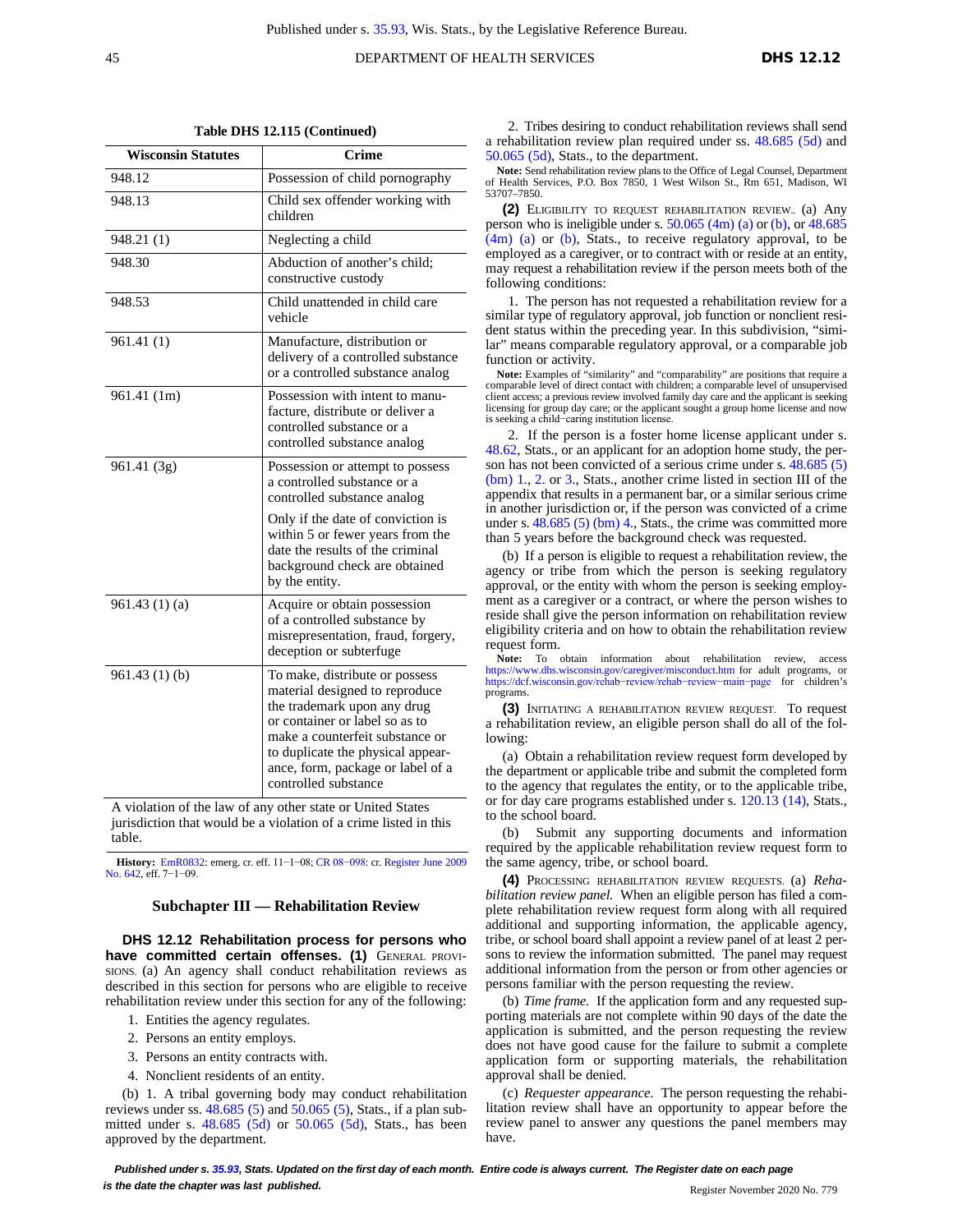DEPARTMENT OF HEALTH SERVICES **DHS 12.12** 

| ٦            |  |
|--------------|--|
| ٦            |  |
| I<br>×<br>۰. |  |

|  |  | Table DHS 12.115 (Continued) |
|--|--|------------------------------|
|--|--|------------------------------|

| <b>Wisconsin Statutes</b> | Crime                                                                                                                                                                                                                                                                  |  |
|---------------------------|------------------------------------------------------------------------------------------------------------------------------------------------------------------------------------------------------------------------------------------------------------------------|--|
| 948.12                    | Possession of child pornography                                                                                                                                                                                                                                        |  |
| 948.13                    | Child sex offender working with<br>children                                                                                                                                                                                                                            |  |
| 948.21 (1)                | Neglecting a child                                                                                                                                                                                                                                                     |  |
| 948.30                    | Abduction of another's child;<br>constructive custody                                                                                                                                                                                                                  |  |
| 948.53                    | Child unattended in child care<br>vehicle                                                                                                                                                                                                                              |  |
| 961.41(1)                 | Manufacture, distribution or<br>delivery of a controlled substance<br>or a controlled substance analog                                                                                                                                                                 |  |
| 961.41 (1m)               | Possession with intent to manu-<br>facture, distribute or deliver a<br>controlled substance or a<br>controlled substance analog                                                                                                                                        |  |
| 961.41 (3g)               | Possession or attempt to possess<br>a controlled substance or a<br>controlled substance analog                                                                                                                                                                         |  |
|                           | Only if the date of conviction is<br>within 5 or fewer years from the<br>date the results of the criminal<br>background check are obtained<br>by the entity.                                                                                                           |  |
| 961.43(1)(a)              | Acquire or obtain possession<br>of a controlled substance by<br>misrepresentation, fraud, forgery,<br>deception or subterfuge                                                                                                                                          |  |
| 961.43(1)(b)              | To make, distribute or possess<br>material designed to reproduce<br>the trademark upon any drug<br>or container or label so as to<br>make a counterfeit substance or<br>to duplicate the physical appear-<br>ance, form, package or label of a<br>controlled substance |  |

A violation of the law of any other state or United States jurisdiction that would be a violation of a crime listed in this table.

**History:** [EmR0832:](https://docs.legis.wisconsin.gov/document/emergencyrules/EmR0832) emerg. cr. eff. 11−1−08; CR [08−098](https://docs.legis.wisconsin.gov/document/cr/2008/98): cr. [Register June 2009](https://docs.legis.wisconsin.gov/document/register/642/B/toc) No. [642,](https://docs.legis.wisconsin.gov/document/register/642/B/toc) eff. 7-1-09.

#### **Subchapter III — Rehabilitation Review**

**DHS 12.12 Rehabilitation process for persons who have committed certain offenses. (1)** GENERAL PROVI-SIONS. (a) An agency shall conduct rehabilitation reviews as described in this section for persons who are eligible to receive rehabilitation review under this section for any of the following:

- 1. Entities the agency regulates.
- 2. Persons an entity employs.
- 3. Persons an entity contracts with.
- 4. Nonclient residents of an entity.

(b) 1. A tribal governing body may conduct rehabilitation reviews under ss. [48.685](https://docs.legis.wisconsin.gov/document/statutes/48.685(5)) (5) and [50.065](https://docs.legis.wisconsin.gov/document/statutes/50.065(5)) (5), Stats., if a plan submitted under s. [48.685](https://docs.legis.wisconsin.gov/document/statutes/48.685(5d)) (5d) or [50.065](https://docs.legis.wisconsin.gov/document/statutes/50.065(5d)) (5d), Stats., has been approved by the department.

2. Tribes desiring to conduct rehabilitation reviews shall send a rehabilitation review plan required under ss. [48.685](https://docs.legis.wisconsin.gov/document/statutes/48.685(5d)) (5d) and [50.065](https://docs.legis.wisconsin.gov/document/statutes/50.065(5d)) (5d), Stats., to the department.

**Note:** Send rehabilitation review plans to the Office of Legal Counsel, Department of Health Services, P.O. Box 7850, 1 West Wilson St., Rm 651, Madison, WI 53707–7850.

**(2)** ELIGIBILITY TO REQUEST REHABILITATION REVIEW.. (a) Any person who is ineligible under s. [50.065](https://docs.legis.wisconsin.gov/document/statutes/50.065(4m)(a)) (4m) (a) or [\(b\),](https://docs.legis.wisconsin.gov/document/statutes/50.065(4m)(b)) or [48.685](https://docs.legis.wisconsin.gov/document/statutes/48.685(4m)(a)) [\(4m\)](https://docs.legis.wisconsin.gov/document/statutes/48.685(4m)(a)) (a) or [\(b\),](https://docs.legis.wisconsin.gov/document/statutes/48.685(4m)(b)) Stats., to receive regulatory approval, to be employed as a caregiver, or to contract with or reside at an entity, may request a rehabilitation review if the person meets both of the following conditions:

1. The person has not requested a rehabilitation review for a similar type of regulatory approval, job function or nonclient resident status within the preceding year. In this subdivision, "similar" means comparable regulatory approval, or a comparable job function or activity.

**Note:** Examples of "similarity" and "comparability" are positions that require a comparable level of direct contact with children; a comparable level of unsupervised client access; a previous review involved family day care and the applicant is seeking licensing for group day care; or the applicant sought a group home license and now is seeking a child−caring institution license.

If the person is a foster home license applicant under s. [48.62,](https://docs.legis.wisconsin.gov/document/statutes/48.62) Stats., or an applicant for an adoption home study, the person has not been convicted of a serious crime under s. [48.685 \(5\)](https://docs.legis.wisconsin.gov/document/statutes/48.685(5)(bm)1) [\(bm\)](https://docs.legis.wisconsin.gov/document/statutes/48.685(5)(bm)1) 1., [2.](https://docs.legis.wisconsin.gov/document/statutes/48.685(5)(bm)2) or [3.,](https://docs.legis.wisconsin.gov/document/statutes/48.685(5)(bm)3) Stats., another crime listed in section III of the appendix that results in a permanent bar, or a similar serious crime in another jurisdiction or, if the person was convicted of a crime under s. [48.685](https://docs.legis.wisconsin.gov/document/statutes/48.685(5)(bm)4) (5) (bm) 4., Stats., the crime was committed more than 5 years before the background check was requested.

(b) If a person is eligible to request a rehabilitation review, the agency or tribe from which the person is seeking regulatory approval, or the entity with whom the person is seeking employment as a caregiver or a contract, or where the person wishes to reside shall give the person information on rehabilitation review eligibility criteria and on how to obtain the rehabilitation review request form.

**Note:** To obtain information about rehabilitation review, access <https://www.dhs.wisconsin.gov/caregiver/misconduct.htm> for adult programs, or https://dcf.wisconsin.gov[/rehab−review/rehab−review−main−page](https://dcf.wisconsin.gov/rehab-review/rehab-review-main-page) for children's programs.

**(3)** INITIATING <sup>A</sup> REHABILITATION REVIEW REQUEST. To request a rehabilitation review, an eligible person shall do all of the following:

(a) Obtain a rehabilitation review request form developed by the department or applicable tribe and submit the completed form to the agency that regulates the entity, or to the applicable tribe, or for day care programs established under s. [120.13](https://docs.legis.wisconsin.gov/document/statutes/120.13(14)) (14), Stats., to the school board.

(b) Submit any supporting documents and information required by the applicable rehabilitation review request form to the same agency, tribe, or school board.

**(4)** PROCESSING REHABILITATION REVIEW REQUESTS. (a) *Rehabilitation review panel.* When an eligible person has filed a complete rehabilitation review request form along with all required additional and supporting information, the applicable agency, tribe, or school board shall appoint a review panel of at least 2 persons to review the information submitted. The panel may request additional information from the person or from other agencies or persons familiar with the person requesting the review.

(b) *Time frame.* If the application form and any requested supporting materials are not complete within 90 days of the date the application is submitted, and the person requesting the review does not have good cause for the failure to submit a complete application form or supporting materials, the rehabilitation approval shall be denied.

(c) *Requester appearance.* The person requesting the rehabilitation review shall have an opportunity to appear before the review panel to answer any questions the panel members may have.

Published under s. [35.93,](https://docs.legis.wisconsin.gov/document/statutes/35.93) Stats. Updated on the first day of each month. Entire code is always current. The Register date on each page **is the date the chapter was last published. is the date the chapter was last published.** Register November 2020 No. 779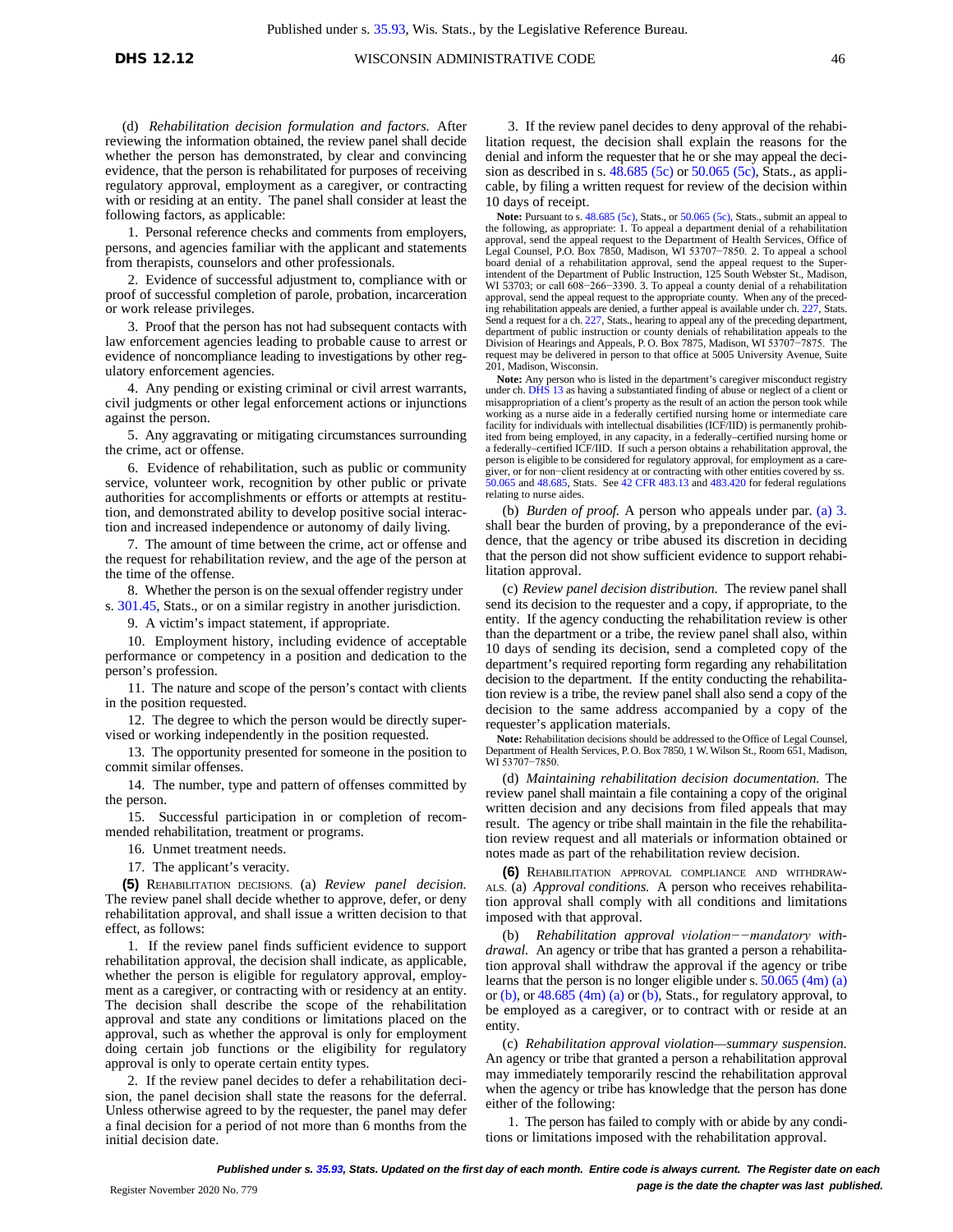(d) *Rehabilitation decision formulation and factors.* After reviewing the information obtained, the review panel shall decide whether the person has demonstrated, by clear and convincing evidence, that the person is rehabilitated for purposes of receiving regulatory approval, employment as a caregiver, or contracting with or residing at an entity. The panel shall consider at least the following factors, as applicable:

1. Personal reference checks and comments from employers, persons, and agencies familiar with the applicant and statements from therapists, counselors and other professionals.

2. Evidence of successful adjustment to, compliance with or proof of successful completion of parole, probation, incarceration or work release privileges.

3. Proof that the person has not had subsequent contacts with law enforcement agencies leading to probable cause to arrest or evidence of noncompliance leading to investigations by other regulatory enforcement agencies.

4. Any pending or existing criminal or civil arrest warrants, civil judgments or other legal enforcement actions or injunctions against the person.

5. Any aggravating or mitigating circumstances surrounding the crime, act or offense.

6. Evidence of rehabilitation, such as public or community service, volunteer work, recognition by other public or private authorities for accomplishments or efforts or attempts at restitution, and demonstrated ability to develop positive social interaction and increased independence or autonomy of daily living.

7. The amount of time between the crime, act or offense and the request for rehabilitation review, and the age of the person at the time of the offense.

8. Whether the person is on the sexual offender registry under s. [301.45,](https://docs.legis.wisconsin.gov/document/statutes/301.45) Stats., or on a similar registry in another jurisdiction.

9. A victim's impact statement, if appropriate.

10. Employment history, including evidence of acceptable performance or competency in a position and dedication to the person's profession.

11. The nature and scope of the person's contact with clients in the position requested.

12. The degree to which the person would be directly supervised or working independently in the position requested.

13. The opportunity presented for someone in the position to commit similar offenses.

14. The number, type and pattern of offenses committed by the person.

15. Successful participation in or completion of recommended rehabilitation, treatment or programs.

16. Unmet treatment needs.

17. The applicant's veracity.

**(5)** REHABILITATION DECISIONS. (a) *Review panel decision.* The review panel shall decide whether to approve, defer, or deny rehabilitation approval, and shall issue a written decision to that effect, as follows:

1. If the review panel finds sufficient evidence to support rehabilitation approval, the decision shall indicate, as applicable, whether the person is eligible for regulatory approval, employment as a caregiver, or contracting with or residency at an entity. The decision shall describe the scope of the rehabilitation approval and state any conditions or limitations placed on the approval, such as whether the approval is only for employment doing certain job functions or the eligibility for regulatory approval is only to operate certain entity types.

2. If the review panel decides to defer a rehabilitation decision, the panel decision shall state the reasons for the deferral. Unless otherwise agreed to by the requester, the panel may defer a final decision for a period of not more than 6 months from the initial decision date.

3. If the review panel decides to deny approval of the rehabilitation request, the decision shall explain the reasons for the denial and inform the requester that he or she may appeal the decision as described in s. [48.685 \(5c\)](https://docs.legis.wisconsin.gov/document/statutes/48.685(5c)) or [50.065 \(5c\),](https://docs.legis.wisconsin.gov/document/statutes/50.065(5c)) Stats., as applicable, by filing a written request for review of the decision within 10 days of receipt.

**Note:** Pursuant to s. [48.685 \(5c\),](https://docs.legis.wisconsin.gov/document/statutes/48.685(5c)) Stats., or [50.065 \(5c\),](https://docs.legis.wisconsin.gov/document/statutes/50.065(5c)) Stats., submit an appeal to the following, as appropriate: 1. To appeal a department denial of a rehabilitation<br>approval, send the appeal request to the Department of Health Services, Office of<br>Legal Counsel, P.O. Box 7850, Madison, WI 53707–7850. 2. board denial of a rehabilitation approval, send the appeal request to the Superintendent of the Department of Public Instruction, 125 South Webster St., Madison, WI 53703; or call 608−266−3390. 3. To appeal a county denial of a rehabilitation approval, send the appeal request to the appropriate county. When any of the preced-ing rehabilitation appeals are denied, a further appeal is available under ch. [227,](https://docs.legis.wisconsin.gov/document/statutes/ch.%20227) Stats. Send a request for a ch. [227,](https://docs.legis.wisconsin.gov/document/statutes/ch.%20227) Stats., hearing to appeal any of the preceding department, department of public instruction or county denials of rehabilitation appeals to the Division of Hearings and Appeals, P. O. Box 7875, Madison, WI 53707−7875. The request may be delivered in person to that office at 5005 University Avenue, Suite 201, Madison, Wisconsin.

Note: Any person who is listed in the department's caregiver misconduct registry under ch. [DHS](https://docs.legis.wisconsin.gov/document/administrativecode/ch.%20DHS%2013) 13 as having a substantiated finding of abuse or neglect of a client or misappropriation of a client's property as the result of an action the person took while working as a nurse aide in a federally certified nursing home or intermediate care facility for individuals with intellectual disabilities (ICF/IID) is permanently prohibited from being employed, in any capacity, in a federally–certified nursing home or a federally–certified ICF/IID. If such a person obtains a rehabilitation approval, the person is eligible to be considered for regulatory approval, for employment as a caregiver, or for non−client residency at or contracting with other entities covered by ss. [50.065](https://docs.legis.wisconsin.gov/document/statutes/50.065) and [48.685,](https://docs.legis.wisconsin.gov/document/statutes/48.685) Stats. See 42 CFR [483.13](https://docs.legis.wisconsin.gov/document/cfr/42%20CFR%20483.13) and [483.420](https://docs.legis.wisconsin.gov/document/cfr/42%20CFR%20483.420) for federal regulations relating to nurse aides.

(b) *Burden of proof.* A person who appeals under par. [\(a\)](https://docs.legis.wisconsin.gov/document/administrativecode/DHS%2012.12(5)(a)3) 3. shall bear the burden of proving, by a preponderance of the evidence, that the agency or tribe abused its discretion in deciding that the person did not show sufficient evidence to support rehabilitation approval.

(c) *Review panel decision distribution.* The review panel shall send its decision to the requester and a copy, if appropriate, to the entity. If the agency conducting the rehabilitation review is other than the department or a tribe, the review panel shall also, within 10 days of sending its decision, send a completed copy of the department's required reporting form regarding any rehabilitation decision to the department. If the entity conducting the rehabilitation review is a tribe, the review panel shall also send a copy of the decision to the same address accompanied by a copy of the requester's application materials.

**Note:** Rehabilitation decisions should be addressed to the Office of Legal Counsel, Department of Health Services, P.O. Box 7850, 1 W.Wilson St., Room 651, Madison, WI 53707-7850.

(d) *Maintaining rehabilitation decision documentation.* The review panel shall maintain a file containing a copy of the original written decision and any decisions from filed appeals that may result. The agency or tribe shall maintain in the file the rehabilitation review request and all materials or information obtained or notes made as part of the rehabilitation review decision.

**(6)** REHABILITATION APPROVAL COMPLIANCE AND WITHDRAW-ALS. (a) *Approval conditions.* A person who receives rehabilitation approval shall comply with all conditions and limitations imposed with that approval.

(b) *Rehabilitation approval violation−−mandatory withdrawal.* An agency or tribe that has granted a person a rehabilitation approval shall withdraw the approval if the agency or tribe learns that the person is no longer eligible under s. [50.065](https://docs.legis.wisconsin.gov/document/statutes/50.065(4m)(a)) (4m) (a) or  $(b)$ , or  $48.685$   $(4m)$   $(a)$  or  $(b)$ , Stats., for regulatory approval, to be employed as a caregiver, or to contract with or reside at an entity.

(c) *Rehabilitation approval violation—summary suspension.* An agency or tribe that granted a person a rehabilitation approval may immediately temporarily rescind the rehabilitation approval when the agency or tribe has knowledge that the person has done either of the following:

1. The person has failed to comply with or abide by any conditions or limitations imposed with the rehabilitation approval.

*Published under s[. 35.93,](https://docs.legis.wisconsin.gov/document/statutes/35.93) Stats. Updated on the first day of each month. Entire code is always current. The Register date on each* **Page is the date the chapter was last** *published.* **Property the chapter was last** *published.* **Register November 2020 No. 779**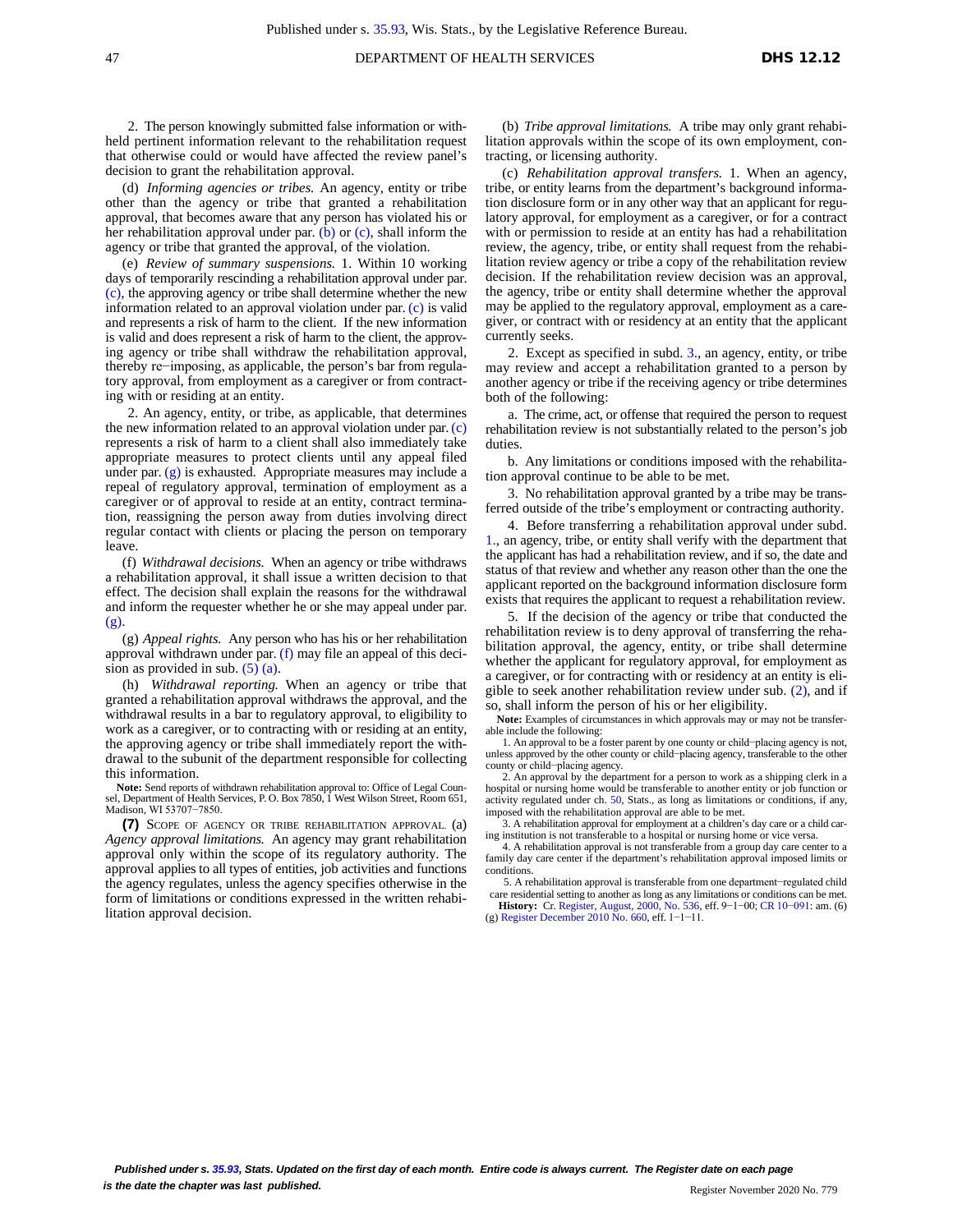2. The person knowingly submitted false information or withheld pertinent information relevant to the rehabilitation request that otherwise could or would have affected the review panel's decision to grant the rehabilitation approval.

(d) *Informing agencies or tribes.* An agency, entity or tribe other than the agency or tribe that granted a rehabilitation approval, that becomes aware that any person has violated his or her rehabilitation approval under par. [\(b\)](https://docs.legis.wisconsin.gov/document/administrativecode/DHS%2012.12(6)(b)) or  $(c)$ , shall inform the agency or tribe that granted the approval, of the violation.

(e) *Review of summary suspensions.* 1. Within 10 working days of temporarily rescinding a rehabilitation approval under par. [\(c\),](https://docs.legis.wisconsin.gov/document/administrativecode/DHS%2012.12(6)(c)) the approving agency or tribe shall determine whether the new information related to an approval violation under par. [\(c\)](https://docs.legis.wisconsin.gov/document/administrativecode/DHS%2012.12(6)(c)) is valid and represents a risk of harm to the client. If the new information is valid and does represent a risk of harm to the client, the approving agency or tribe shall withdraw the rehabilitation approval, thereby re−imposing, as applicable, the person's bar from regulatory approval, from employment as a caregiver or from contracting with or residing at an entity.

2. An agency, entity, or tribe, as applicable, that determines the new information related to an approval violation under par[.\(c\)](https://docs.legis.wisconsin.gov/document/administrativecode/DHS%2012.12(6)(c)) represents a risk of harm to a client shall also immediately take appropriate measures to protect clients until any appeal filed under par.  $(g)$  is exhausted. Appropriate measures may include a repeal of regulatory approval, termination of employment as a caregiver or of approval to reside at an entity, contract termination, reassigning the person away from duties involving direct regular contact with clients or placing the person on temporary leave.

(f) *Withdrawal decisions.* When an agency or tribe withdraws a rehabilitation approval, it shall issue a written decision to that effect. The decision shall explain the reasons for the withdrawal and inform the requester whether he or she may appeal under par.  $(g)$ 

(g) *Appeal rights.* Any person who has his or her rehabilitation approval withdrawn under par. [\(f\)](https://docs.legis.wisconsin.gov/document/administrativecode/DHS%2012.12(6)(f)) may file an appeal of this decision as provided in sub.  $(5)$  [\(a\).](https://docs.legis.wisconsin.gov/document/administrativecode/DHS%2012.12(5)(a))

(h) *Withdrawal reporting.* When an agency or tribe that granted a rehabilitation approval withdraws the approval, and the withdrawal results in a bar to regulatory approval, to eligibility to work as a caregiver, or to contracting with or residing at an entity, the approving agency or tribe shall immediately report the withdrawal to the subunit of the department responsible for collecting this information.

**Note:** Send reports of withdrawn rehabilitation approval to: Office of Legal Counsel, Department of Health Services, P. O. Box 7850, 1 West Wilson Street, Room 651, Madison, WI 53707−7850.

**(7)** SCOPE OF AGENCY OR TRIBE REHABILITATION APPROVAL. (a) *Agency approval limitations.* An agency may grant rehabilitation approval only within the scope of its regulatory authority. The approval applies to all types of entities, job activities and functions the agency regulates, unless the agency specifies otherwise in the form of limitations or conditions expressed in the written rehabilitation approval decision.

(b) *Tribe approval limitations.* A tribe may only grant rehabilitation approvals within the scope of its own employment, contracting, or licensing authority.

(c) *Rehabilitation approval transfers.* 1. When an agency, tribe, or entity learns from the department's background information disclosure form or in any other way that an applicant for regulatory approval, for employment as a caregiver, or for a contract with or permission to reside at an entity has had a rehabilitation review, the agency, tribe, or entity shall request from the rehabilitation review agency or tribe a copy of the rehabilitation review decision. If the rehabilitation review decision was an approval, the agency, tribe or entity shall determine whether the approval may be applied to the regulatory approval, employment as a caregiver, or contract with or residency at an entity that the applicant currently seeks.

2. Except as specified in subd. [3.,](https://docs.legis.wisconsin.gov/document/administrativecode/DHS%2012.12(7)(c)3) an agency, entity, or tribe may review and accept a rehabilitation granted to a person by another agency or tribe if the receiving agency or tribe determines both of the following:

a. The crime, act, or offense that required the person to request rehabilitation review is not substantially related to the person's job duties.

b. Any limitations or conditions imposed with the rehabilitation approval continue to be able to be met.

3. No rehabilitation approval granted by a tribe may be transferred outside of the tribe's employment or contracting authority.

4. Before transferring a rehabilitation approval under subd. [1.,](https://docs.legis.wisconsin.gov/document/administrativecode/DHS%2012.12(7)(c)1) an agency, tribe, or entity shall verify with the department that the applicant has had a rehabilitation review, and if so, the date and status of that review and whether any reason other than the one the applicant reported on the background information disclosure form exists that requires the applicant to request a rehabilitation review.

5. If the decision of the agency or tribe that conducted the rehabilitation review is to deny approval of transferring the rehabilitation approval, the agency, entity, or tribe shall determine whether the applicant for regulatory approval, for employment as a caregiver, or for contracting with or residency at an entity is eligible to seek another rehabilitation review under sub. [\(2\),](https://docs.legis.wisconsin.gov/document/administrativecode/DHS%2012.12(2)) and if so, shall inform the person of his or her eligibility.

**Note:** Examples of circumstances in which approvals may or may not be transferable include the following:

1. An approval to be a foster parent by one county or child−placing agency is not, unless approved by the other county or child−placing agency, transferable to the other county or child−placing agency.

2. An approval by the department for a person to work as a shipping clerk in a hospital or nursing home would be transferable to another entity or job function or activity regulated under ch. [50,](https://docs.legis.wisconsin.gov/document/statutes/ch.%2050) Stats., as long as limitations or conditions, if any, imposed with the rehabilitation approval are able to be met.

3. A rehabilitation approval for employment at a children's day care or a child caring institution is not transferable to a hospital or nursing home or vice versa.

4. A rehabilitation approval is not transferable from a group day care center to a family day care center if the department's rehabilitation approval imposed limits or conditions.

5. A rehabilitation approval is transferable from one department−regulated child care residential setting to another as long as any limitations or conditions can be met.

**History: Cr.** [Register,](https://docs.legis.wisconsin.gov/document/register/536/B/toc) August, 2000, No. 536, eff. 9–1–00; CR 10–091: am. (6[\) Register December 2010 No. 660,](https://docs.legis.wisconsin.gov/document/register/660/B/toc) eff. 1–1–11.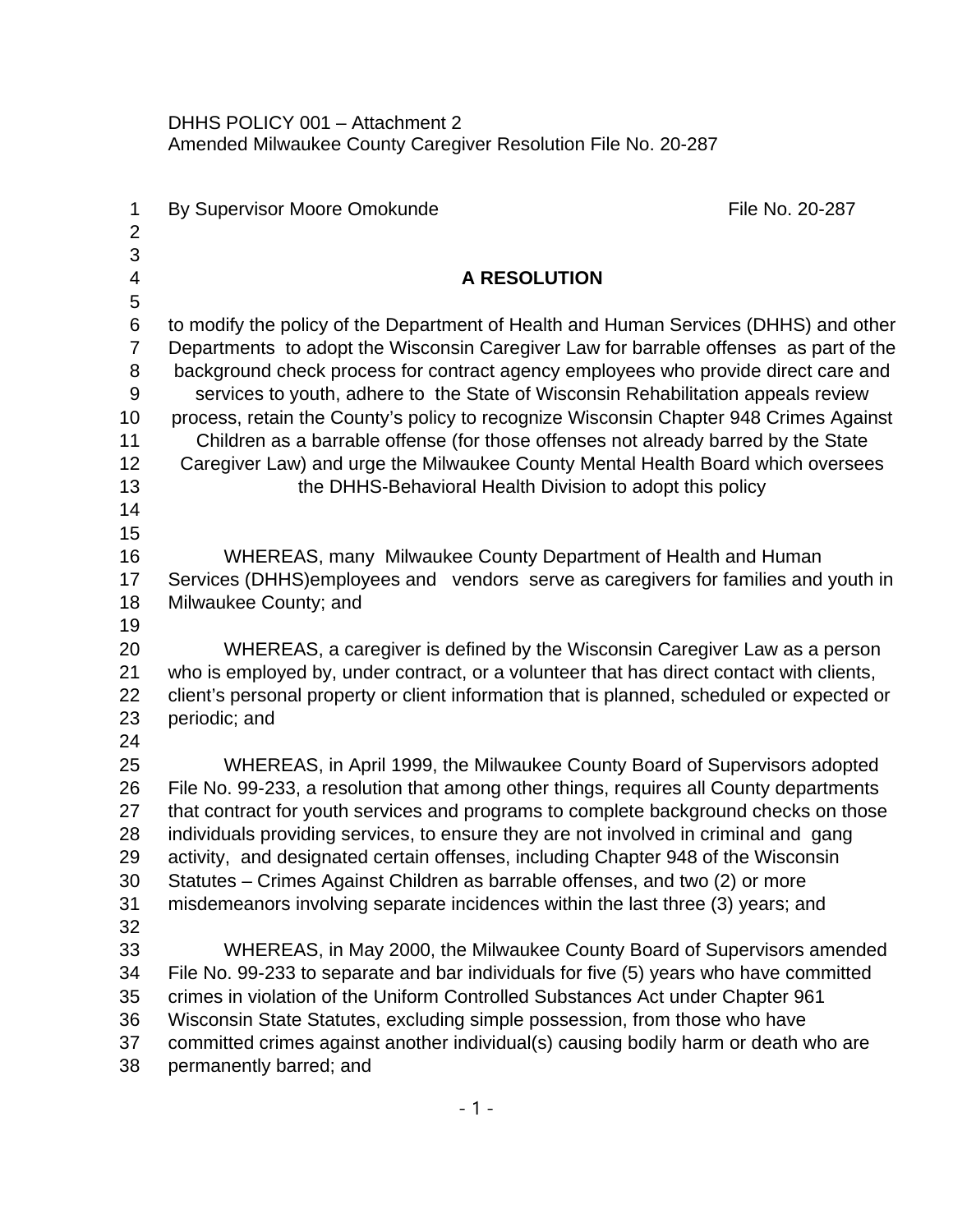DHHS POLICY 001 – Attachment 2 Amended Milwaukee County Caregiver Resolution File No. 20-287

| 1<br>$\overline{2}$ | By Supervisor Moore Omokunde                                                                                | File No. 20-287 |
|---------------------|-------------------------------------------------------------------------------------------------------------|-----------------|
| $\mathfrak{S}$      |                                                                                                             |                 |
| $\overline{4}$<br>5 | <b>A RESOLUTION</b>                                                                                         |                 |
| $6\phantom{1}$      | to modify the policy of the Department of Health and Human Services (DHHS) and other                        |                 |
| $\overline{7}$      | Departments to adopt the Wisconsin Caregiver Law for barrable offenses as part of the                       |                 |
| 8                   | background check process for contract agency employees who provide direct care and                          |                 |
| $9\,$               | services to youth, adhere to the State of Wisconsin Rehabilitation appeals review                           |                 |
| 10                  | process, retain the County's policy to recognize Wisconsin Chapter 948 Crimes Against                       |                 |
| 11                  | Children as a barrable offense (for those offenses not already barred by the State                          |                 |
| 12                  | Caregiver Law) and urge the Milwaukee County Mental Health Board which oversees                             |                 |
| 13<br>14            | the DHHS-Behavioral Health Division to adopt this policy                                                    |                 |
| 15                  |                                                                                                             |                 |
| 16                  | WHEREAS, many Milwaukee County Department of Health and Human                                               |                 |
| 17                  | Services (DHHS) employees and vendors serve as caregivers for families and youth in                         |                 |
| 18                  | Milwaukee County; and                                                                                       |                 |
| 19                  |                                                                                                             |                 |
| 20                  | WHEREAS, a caregiver is defined by the Wisconsin Caregiver Law as a person                                  |                 |
| 21                  | who is employed by, under contract, or a volunteer that has direct contact with clients,                    |                 |
| 22<br>23            | client's personal property or client information that is planned, scheduled or expected or<br>periodic; and |                 |
| 24                  |                                                                                                             |                 |
| 25                  | WHEREAS, in April 1999, the Milwaukee County Board of Supervisors adopted                                   |                 |
| 26                  | File No. 99-233, a resolution that among other things, requires all County departments                      |                 |
| 27                  | that contract for youth services and programs to complete background checks on those                        |                 |
| 28                  | individuals providing services, to ensure they are not involved in criminal and gang                        |                 |
| 29                  | activity, and designated certain offenses, including Chapter 948 of the Wisconsin                           |                 |
| 30                  | Statutes – Crimes Against Children as barrable offenses, and two (2) or more                                |                 |
| 31<br>32            | misdemeanors involving separate incidences within the last three (3) years; and                             |                 |
| 33                  | WHEREAS, in May 2000, the Milwaukee County Board of Supervisors amended                                     |                 |
| 34                  | File No. 99-233 to separate and bar individuals for five (5) years who have committed                       |                 |
| 35                  | crimes in violation of the Uniform Controlled Substances Act under Chapter 961                              |                 |
| 36                  | Wisconsin State Statutes, excluding simple possession, from those who have                                  |                 |
| 37                  | committed crimes against another individual(s) causing bodily harm or death who are                         |                 |
| 38                  | permanently barred; and                                                                                     |                 |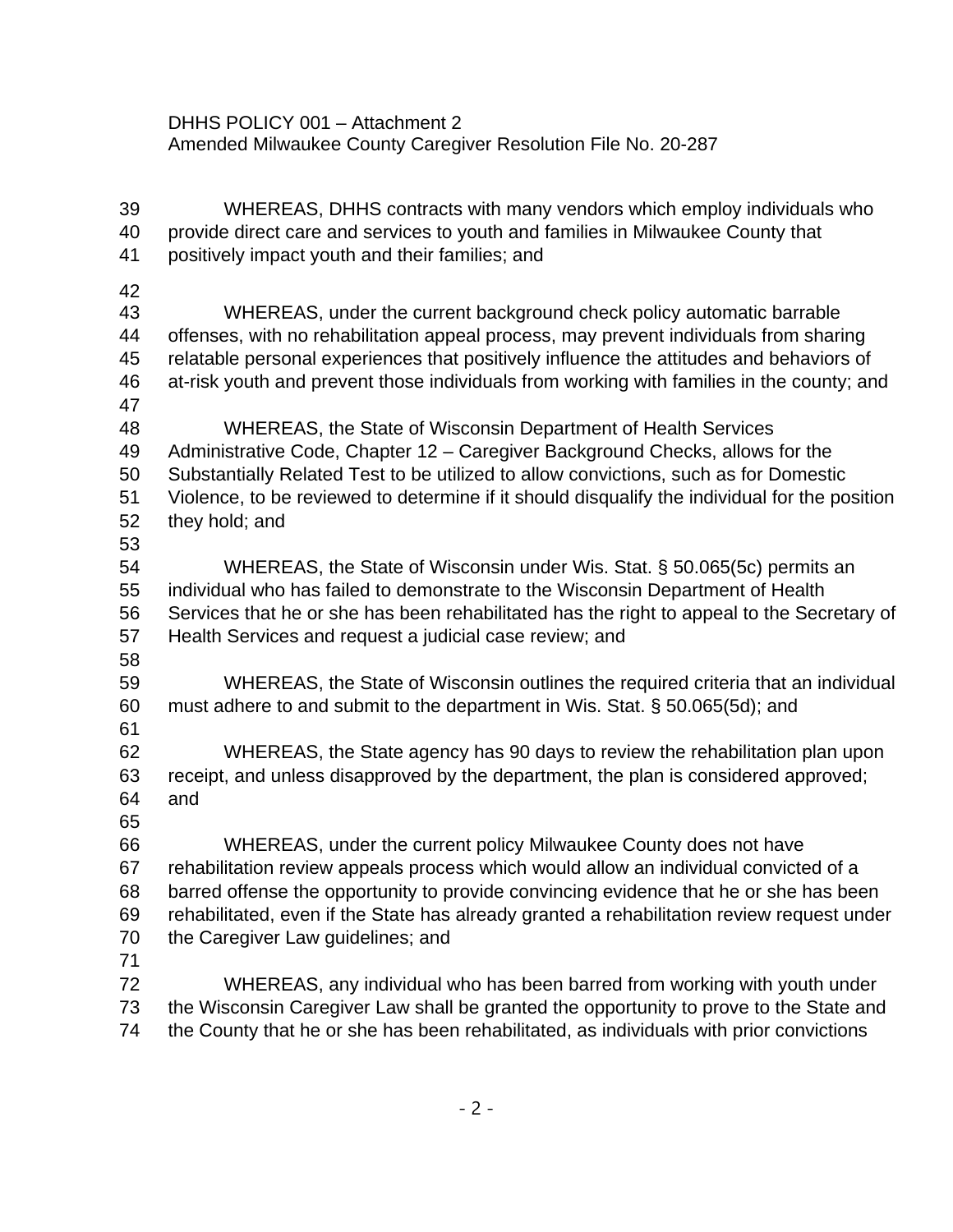DHHS POLICY 001 – Attachment 2 Amended Milwaukee County Caregiver Resolution File No. 20-287

 WHEREAS, DHHS contracts with many vendors which employ individuals who provide direct care and services to youth and families in Milwaukee County that positively impact youth and their families; and WHEREAS, under the current background check policy automatic barrable offenses, with no rehabilitation appeal process, may prevent individuals from sharing relatable personal experiences that positively influence the attitudes and behaviors of at-risk youth and prevent those individuals from working with families in the county; and WHEREAS, the State of Wisconsin Department of Health Services Administrative Code, Chapter 12 – Caregiver Background Checks, allows for the Substantially Related Test to be utilized to allow convictions, such as for Domestic Violence, to be reviewed to determine if it should disqualify the individual for the position they hold; and WHEREAS, the State of Wisconsin under Wis. Stat. § 50.065(5c) permits an individual who has failed to demonstrate to the Wisconsin Department of Health Services that he or she has been rehabilitated has the right to appeal to the Secretary of Health Services and request a judicial case review; and WHEREAS, the State of Wisconsin outlines the required criteria that an individual must adhere to and submit to the department in Wis. Stat. § 50.065(5d); and WHEREAS, the State agency has 90 days to review the rehabilitation plan upon receipt, and unless disapproved by the department, the plan is considered approved; and WHEREAS, under the current policy Milwaukee County does not have rehabilitation review appeals process which would allow an individual convicted of a barred offense the opportunity to provide convincing evidence that he or she has been rehabilitated, even if the State has already granted a rehabilitation review request under the Caregiver Law guidelines; and WHEREAS, any individual who has been barred from working with youth under the Wisconsin Caregiver Law shall be granted the opportunity to prove to the State and the County that he or she has been rehabilitated, as individuals with prior convictions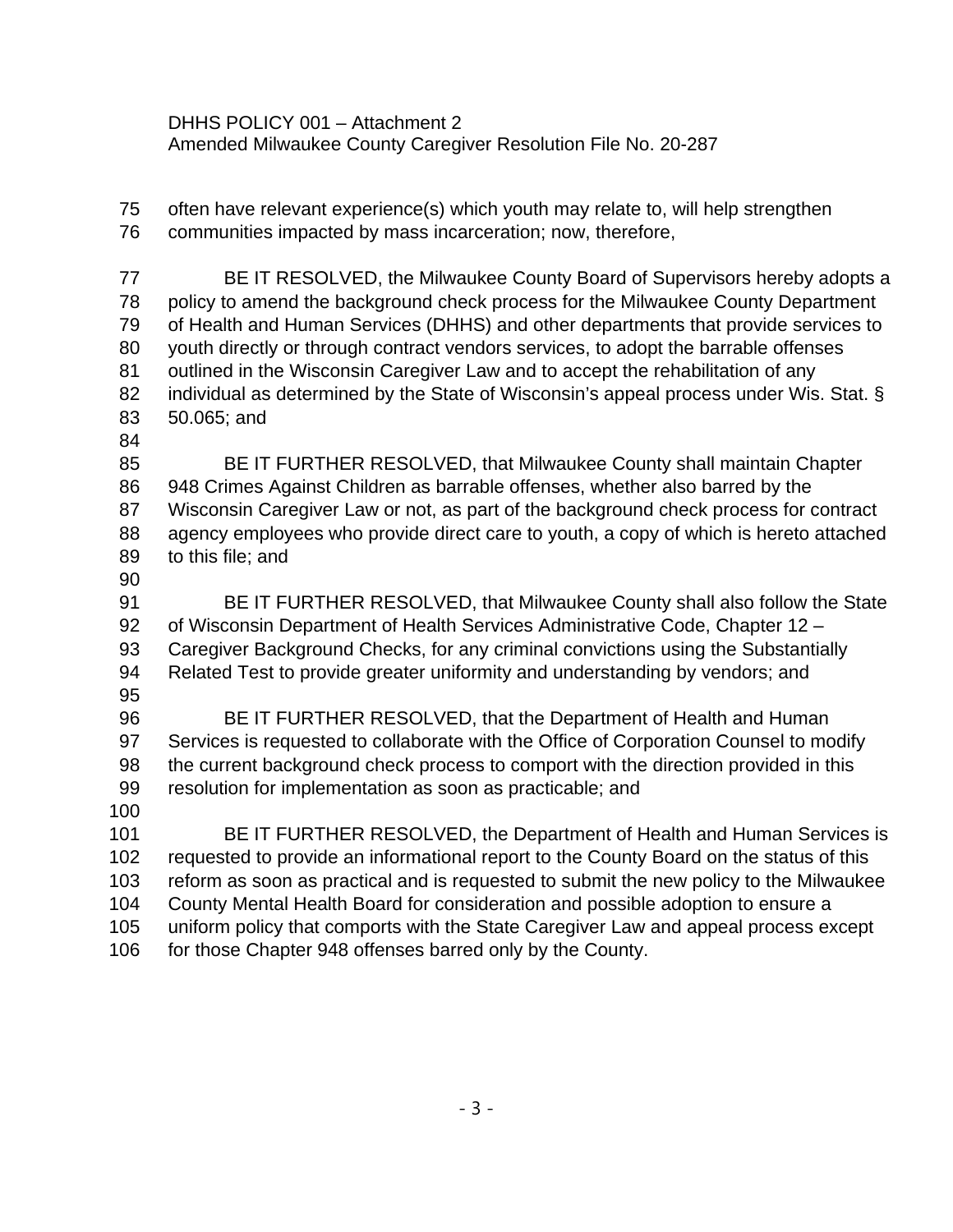DHHS POLICY 001 – Attachment 2 Amended Milwaukee County Caregiver Resolution File No. 20-287

 often have relevant experience(s) which youth may relate to, will help strengthen communities impacted by mass incarceration; now, therefore,

 BE IT RESOLVED, the Milwaukee County Board of Supervisors hereby adopts a policy to amend the background check process for the Milwaukee County Department of Health and Human Services (DHHS) and other departments that provide services to youth directly or through contract vendors services, to adopt the barrable offenses outlined in the Wisconsin Caregiver Law and to accept the rehabilitation of any 82 individual as determined by the State of Wisconsin's appeal process under Wis. Stat. § 50.065; and

 BE IT FURTHER RESOLVED, that Milwaukee County shall maintain Chapter 948 Crimes Against Children as barrable offenses, whether also barred by the Wisconsin Caregiver Law or not, as part of the background check process for contract agency employees who provide direct care to youth, a copy of which is hereto attached to this file; and

 BE IT FURTHER RESOLVED, that Milwaukee County shall also follow the State of Wisconsin Department of Health Services Administrative Code, Chapter 12 – Caregiver Background Checks, for any criminal convictions using the Substantially Related Test to provide greater uniformity and understanding by vendors; and 

 BE IT FURTHER RESOLVED, that the Department of Health and Human Services is requested to collaborate with the Office of Corporation Counsel to modify the current background check process to comport with the direction provided in this resolution for implementation as soon as practicable; and

 BE IT FURTHER RESOLVED, the Department of Health and Human Services is requested to provide an informational report to the County Board on the status of this reform as soon as practical and is requested to submit the new policy to the Milwaukee County Mental Health Board for consideration and possible adoption to ensure a uniform policy that comports with the State Caregiver Law and appeal process except 106 for those Chapter 948 offenses barred only by the County.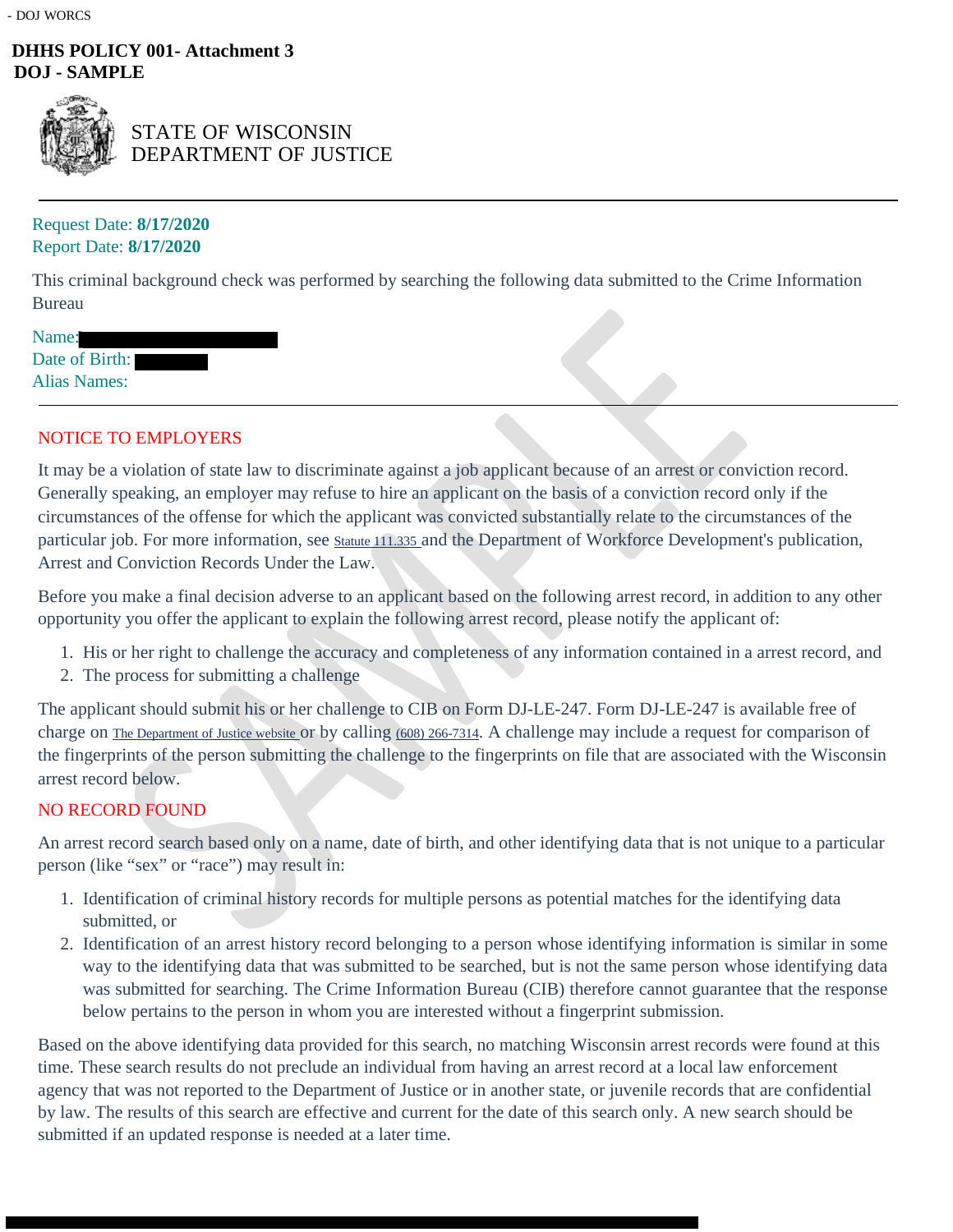## **DHHS POLICY 001- Attachment 3 DOJ - SAMPLE**



STATE OF WISCONSIN DEPARTMENT OF JUSTICE

## Request Date: **8/17/2020** Report Date: **8/17/2020**

This criminal background check was performed by searching the following data submitted to the Crime Information Bureau

| Name:               |  |
|---------------------|--|
| Date of Birth:      |  |
| <b>Alias Names:</b> |  |

## NOTICE TO EMPLOYERS

It may be a violation of state law to discriminate against a job applicant because of an arrest or conviction record. Generally speaking, an employer may refuse to hire an applicant on the basis of a conviction record only if the circumstances of the offense for which the applicant was convicted substantially relate to the circumstances of the particular job. For more information, see Statute 111.335 and the Department of Workforce Development's publication, Arrest and Conviction Records Under the Law.

Before you make a final decision adverse to an applicant based on the following arrest record, in addition to any other opportunity you offer the applicant to explain the following arrest record, please notify the applicant of:

- 1. His or her right to challenge the accuracy and completeness of any information contained in a arrest record, and
- 2. The process for submitting a challenge

The applicant should submit his or her challenge to CIB on Form DJ-LE-247. Form DJ-LE-247 is available free of charge on The Department of Justice website or by calling (608) 266-7314. A challenge may include a request for comparison of the fingerprints of the person submitting the challenge to the fingerprints on file that are associated with the Wisconsin arrest record below.

## NO RECORD FOUND

An arrest record search based only on a name, date of birth, and other identifying data that is not unique to a particular person (like "sex" or "race") may result in:

- 1. Identification of criminal history records for multiple persons as potential matches for the identifying data submitted, or
- 2. Identification of an arrest history record belonging to a person whose identifying information is similar in some way to the identifying data that was submitted to be searched, but is not the same person whose identifying data was submitted for searching. The Crime Information Bureau (CIB) therefore cannot guarantee that the response below pertains to the person in whom you are interested without a fingerprint submission.

Based on the above identifying data provided for this search, no matching Wisconsin arrest records were found at this time. These search results do not preclude an individual from having an arrest record at a local law enforcement agency that was not reported to the Department of Justice or in another state, or juvenile records that are confidential by law. The results of this search are effective and current for the date of this search only. A new search should be submitted if an updated response is needed at a later time.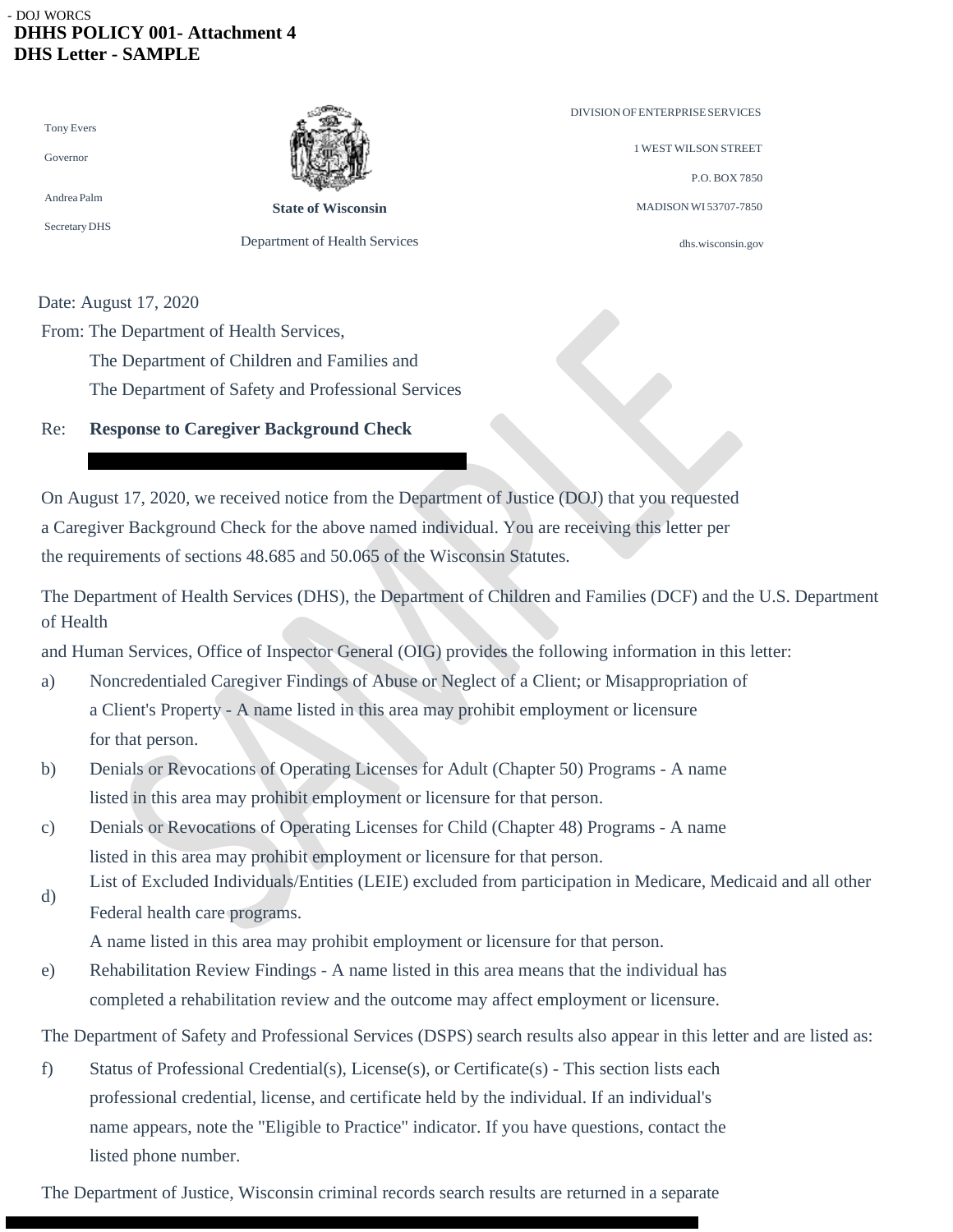### - DOJ WORCS  **DHHS POLICY 001- Attachment 4 DHS Letter - SAMPLE**

| <b>Tony Evers</b> |  |
|-------------------|--|
| Governor          |  |
| Andrea Palm       |  |



**State of Wisconsin** Department of Health Services DIVISIONOFENTERPRISESERVICES 1 WEST WILSON STREET P.O. BOX 7850 MADISONWI 53707-7850

dhs.wisconsin.gov

Date: August 17, 2020

From: The Department of Health Services,

The Department of Children and Families and

The Department of Safety and Professional Services

## Re: **Response to Caregiver Background Check**

On August 17, 2020, we received notice from the Department of Justice (DOJ) that you requested a Caregiver Background Check for the above named individual. You are receiving this letter per the requirements of sections 48.685 and 50.065 of the Wisconsin Statutes.

The Department of Health Services (DHS), the Department of Children and Families (DCF) and the U.S. Department of Health

and Human Services, Office of Inspector General (OIG) provides the following information in this letter:

- a) Noncredentialed Caregiver Findings of Abuse or Neglect of a Client; or Misappropriation of a Client's Property - A name listed in this area may prohibit employment or licensure for that person.
- b) Denials or Revocations of Operating Licenses for Adult (Chapter 50) Programs A name listed in this area may prohibit employment or licensure for that person.
- c) Denials or Revocations of Operating Licenses for Child (Chapter 48) Programs A name listed in this area may prohibit employment or licensure for that person.
- List of Excluded Individuals/Entities (LEIE) excluded from participation in Medicare, Medicaid and all other d) Federal health care programs.

A name listed in this area may prohibit employment or licensure for that person.

e) Rehabilitation Review Findings - A name listed in this area means that the individual has completed a rehabilitation review and the outcome may affect employment or licensure.

The Department of Safety and Professional Services (DSPS) search results also appear in this letter and are listed as:

f) Status of Professional Credential(s), License(s), or Certificate(s) - This section lists each professional credential, license, and certificate held by the individual. If an individual's name appears, note the "Eligible to Practice" indicator. If you have questions, contact the listed phone number.

The Department of Justice, Wisconsin criminal records search results are returned in a separate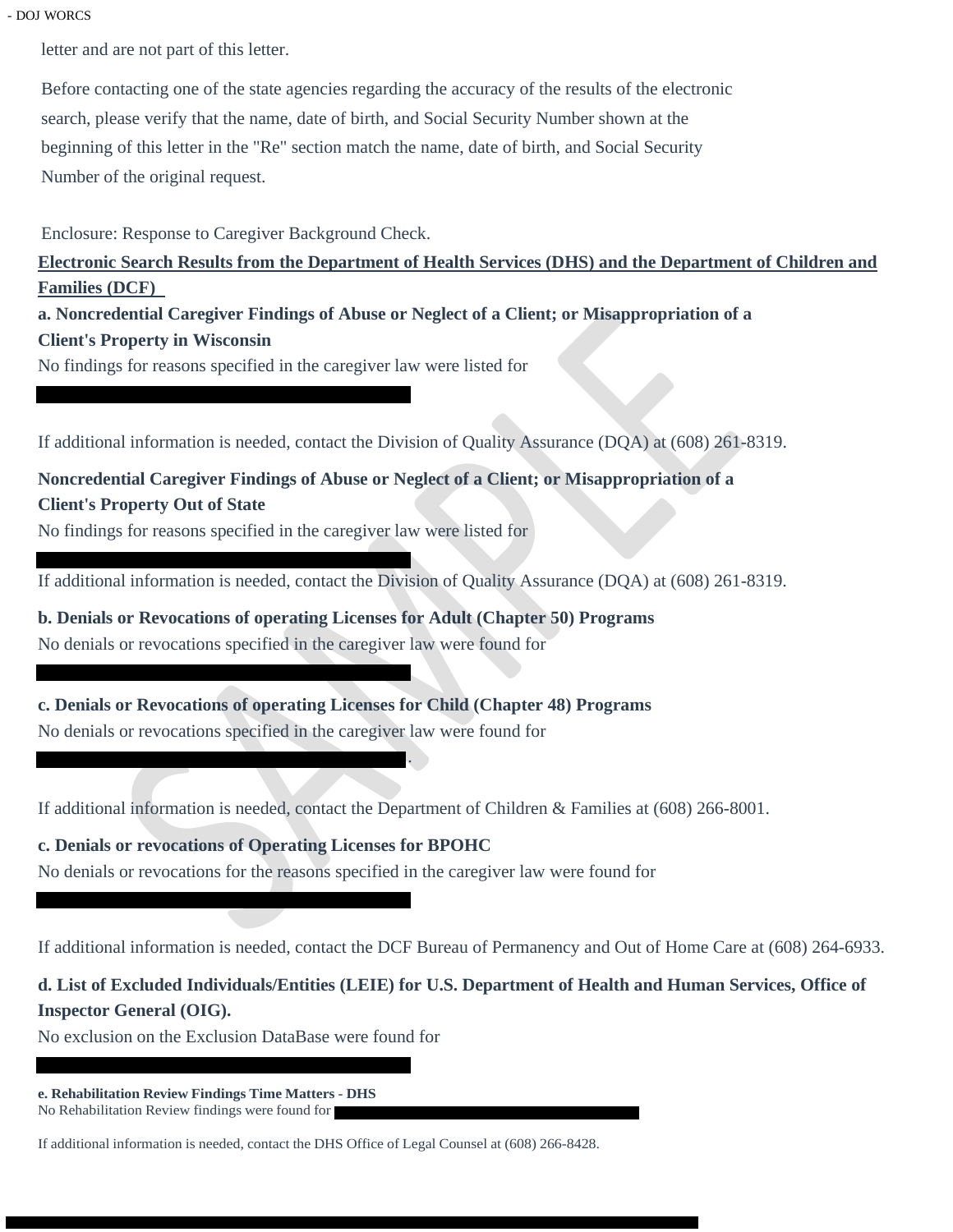### - DOJ WORCS

letter and are not part of this letter.

Before contacting one of the state agencies regarding the accuracy of the results of the electronic search, please verify that the name, date of birth, and Social Security Number shown at the beginning of this letter in the "Re" section match the name, date of birth, and Social Security Number of the original request.

Enclosure: Response to Caregiver Background Check.

**Electronic Search Results from the Department of Health Services (DHS) and the Department of Children and Families (DCF)** 

**a. Noncredential Caregiver Findings of Abuse or Neglect of a Client; or Misappropriation of a Client's Property in Wisconsin**

No findings for reasons specified in the caregiver law were listed for

If additional information is needed, contact the Division of Quality Assurance (DQA) at (608) 261-8319.

# **Noncredential Caregiver Findings of Abuse or Neglect of a Client; or Misappropriation of a Client's Property Out of State**

No findings for reasons specified in the caregiver law were listed for

If additional information is needed, contact the Division of Quality Assurance (DQA) at (608) 261-8319.

**b. Denials or Revocations of operating Licenses for Adult (Chapter 50) Programs** No denials or revocations specified in the caregiver law were found for

**c. Denials or Revocations of operating Licenses for Child (Chapter 48) Programs** No denials or revocations specified in the caregiver law were found for

If additional information is needed, contact the Department of Children & Families at (608) 266-8001.

.

**c. Denials or revocations of Operating Licenses for BPOHC** No denials or revocations for the reasons specified in the caregiver law were found for

If additional information is needed, contact the DCF Bureau of Permanency and Out of Home Care at (608) 264-6933.

# **d. List of Excluded Individuals/Entities (LEIE) for U.S. Department of Health and Human Services, Office of Inspector General (OIG).**

No exclusion on the Exclusion DataBase were found for

**e. Rehabilitation Review Findings Time Matters - DHS** No Rehabilitation Review findings were found for

If additional information is needed, contact the DHS Office of Legal Counsel at (608) 266-8428.